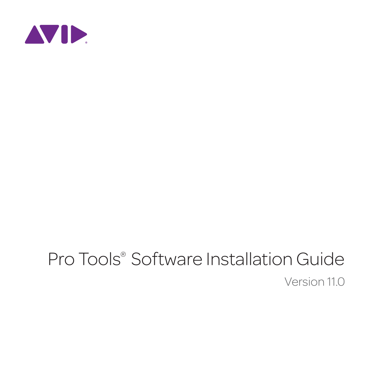

# Pro Tools<sup>®</sup> Software Installation Guide Version 11.0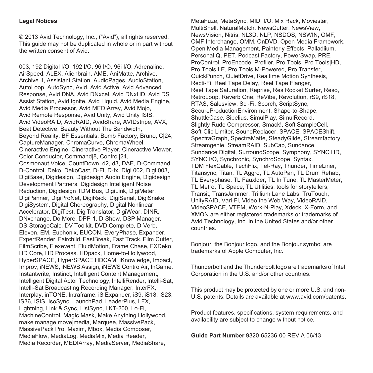#### **Legal Notices**

© 2013 Avid Technology, Inc., ("Avid"), all rights reserved. This guide may not be duplicated in whole or in part without the written consent of Avid.

003, 192 Digital I/O, 192 I/O, 96 I/O, 96i I/O, Adrenaline, AirSpeed, ALEX, Alienbrain, AME, AniMatte, Archive, Archive II, Assistant Station, AudioPages, AudioStation, AutoLoop, AutoSync, Avid, Avid Active, Avid Advanced Response, Avid DNA, Avid DNxcel, Avid DNxHD, Avid DS Assist Station, Avid Ignite, Avid Liquid, Avid Media Engine, Avid Media Processor, Avid MEDIArray, Avid Mojo, Avid Remote Response, Avid Unity, Avid Unity ISIS, Avid VideoRAID, AvidRAID, AvidShare, AVIDstripe, AVX, Beat Detective, Beauty Without The Bandwidth, Beyond Reality, BF Essentials, Bomb Factory, Bruno, C|24, CaptureManager, ChromaCurve, ChromaWheel, Cineractive Engine, Cineractive Player, Cineractive Viewer, Color Conductor, Command|8, Control|24, Cosmonaut Voice, CountDown, d2, d3, DAE, D-Command, D-Control, Deko, DekoCast, D-Fi, D-fx, Digi 002, Digi 003, DigiBase, Digidesign, Digidesign Audio Engine, Digidesign Development Partners, Digidesign Intelligent Noise Reduction, Digidesign TDM Bus, DigiLink, DigiMeter, DigiPanner, DigiProNet, DigiRack, DigiSerial, DigiSnake, DigiSystem, Digital Choreography, Digital Nonlinear Accelerator, DigiTest, DigiTranslator, DigiWear, DINR, DNxchange, Do More, DPP-1, D-Show, DSP Manager, DS-StorageCalc, DV Toolkit, DVD Complete, D-Verb, Eleven, EM, Euphonix, EUCON, EveryPhase, Expander, ExpertRender, Fairchild, FastBreak, Fast Track, Film Cutter, FilmScribe, Flexevent, FluidMotion, Frame Chase, FXDeko, HD Core, HD Process, HDpack, Home-to-Hollywood, HyperSPACE, HyperSPACE HDCAM, iKnowledge, Impact, Improv, iNEWS, iNEWS Assign, iNEWS ControlAir, InGame, Instantwrite, Instinct, Intelligent Content Management, Intelligent Digital Actor Technology, IntelliRender, Intelli-Sat, Intelli-Sat Broadcasting Recording Manager, InterFX, Interplay, inTONE, Intraframe, iS Expander, iS9, iS18, iS23, iS36, ISIS, IsoSync, LaunchPad, LeaderPlus, LFX, Lightning, Link & Sync, ListSync, LKT-200, Lo-Fi, MachineControl, Magic Mask, Make Anything Hollywood, make manage movelmedia, Marquee, MassivePack, MassivePack Pro, Maxim, Mbox, Media Composer, MediaFlow, MediaLog, MediaMix, Media Reader, Media Recorder, MEDIArray, MediaServer, MediaShare,

MetaFuze, MetaSync, MIDI I/O, Mix Rack, Moviestar, MultiShell, NaturalMatch, NewsCutter, NewsView, NewsVision, Nitris, NL3D, NLP, NSDOS, NSWIN, OMF, OMF Interchange, OMM, OnDVD, Open Media Framework, Open Media Management, Painterly Effects, Palladiium, Personal Q, PET, Podcast Factory, PowerSwap, PRE, ProControl, ProEncode, Profiler, Pro Tools, Pro Tools|HD, Pro Tools LE, Pro Tools M-Powered, Pro Transfer, QuickPunch, QuietDrive, Realtime Motion Synthesis, Recti-Fi, Reel Tape Delay, Reel Tape Flanger, Reel Tape Saturation, Reprise, Res Rocket Surfer, Reso, RetroLoop, Reverb One, ReVibe, Revolution, rS9, rS18, RTAS, Salesview, Sci-Fi, Scorch, ScriptSync, SecureProductionEnvironment, Shape-to-Shape, ShuttleCase, Sibelius, SimulPlay, SimulRecord, Slightly Rude Compressor, Smack!, Soft SampleCell, Soft-Clip Limiter, SoundReplacer, SPACE, SPACEShift, SpectraGraph, SpectraMatte, SteadyGlide, Streamfactory, Streamgenie, StreamRAID, SubCap, Sundance, Sundance Digital, SurroundScope, Symphony, SYNC HD, SYNC I/O, Synchronic, SynchroScope, Syntax, TDM FlexCable, TechFlix, Tel-Ray, Thunder, TimeLiner, Titansync, Titan, TL Aggro, TL AutoPan, TL Drum Rehab, TL Everyphase, TL Fauxlder, TL In Tune, TL MasterMeter, TL Metro, TL Space, TL Utilities, tools for storytellers, Transit, TransJammer, Trillium Lane Labs, TruTouch, UnityRAID, Vari-Fi, Video the Web Way, VideoRAID, VideoSPACE, VTEM, Work-N-Play, Xdeck, X-Form, and XMON are either registered trademarks or trademarks of Avid Technology, Inc. in the United States and/or other countries.

Bonjour, the Bonjour logo, and the Bonjour symbol are trademarks of Apple Computer, Inc.

Thunderbolt and the Thunderbolt logo are trademarks of Intel Corporation in the U.S. and/or other countries.

This product may be protected by one or more U.S. and non-U.S. patents. Details are available at www.avid.com/patents.

Product features, specifications, system requirements, and availability are subject to change without notice.

**Guide Part Number** 9320-65236-00 REV A 06/13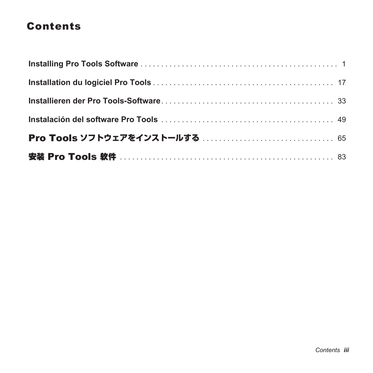# Contents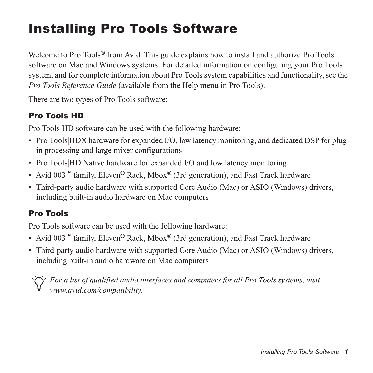# <span id="page-4-0"></span>Installing Pro Tools Software

Welcome to Pro Tools**®** from Avid. This guide explains how to install and authorize Pro Tools software on Mac and Windows systems. For detailed information on configuring your Pro Tools system, and for complete information about Pro Tools system capabilities and functionality, see the *Pro Tools Reference Guide* (available from the Help menu in Pro Tools).

There are two types of Pro Tools software:

### Pro Tools HD

Pro Tools HD software can be used with the following hardware:

- Pro Tools|HDX hardware for expanded I/O, low latency monitoring, and dedicated DSP for plugin processing and large mixer configurations
- Pro Tools|HD Native hardware for expanded I/O and low latency monitoring
- Avid 003**™** family, Eleven**®** Rack, Mbox**®** (3rd generation), and Fast Track hardware
- Third-party audio hardware with supported Core Audio (Mac) or ASIO (Windows) drivers, including built-in audio hardware on Mac computers

#### Pro Tools

Pro Tools software can be used with the following hardware:

- Avid 003**™** family, Eleven**®** Rack, Mbox**®** (3rd generation), and Fast Track hardware
- Third-party audio hardware with supported Core Audio (Mac) or ASIO (Windows) drivers, including built-in audio hardware on Mac computers

*For a list of qualified audio interfaces and computers for all Pro Tools systems, visit www.avid.com/compatibility.*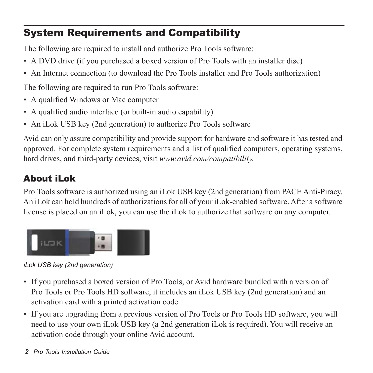# System Requirements and Compatibility

The following are required to install and authorize Pro Tools software:

- A DVD drive (if you purchased a boxed version of Pro Tools with an installer disc)
- An Internet connection (to download the Pro Tools installer and Pro Tools authorization)

The following are required to run Pro Tools software:

- A qualified Windows or Mac computer
- A qualified audio interface (or built-in audio capability)
- An iLok USB key (2nd generation) to authorize Pro Tools software

Avid can only assure compatibility and provide support for hardware and software it has tested and approved. For complete system requirements and a list of qualified computers, operating systems, hard drives, and third-party devices, visit *www.avid.com/compatibility.*

# About iLok

Pro Tools software is authorized using an iLok USB key (2nd generation) from PACE Anti-Piracy. An iLok can hold hundreds of authorizations for all of your iLok-enabled software. After a software license is placed on an iLok, you can use the iLok to authorize that software on any computer.



*iLok USB key (2nd generation)*

- If you purchased a boxed version of Pro Tools, or Avid hardware bundled with a version of Pro Tools or Pro Tools HD software, it includes an iLok USB key (2nd generation) and an activation card with a printed activation code.
- If you are upgrading from a previous version of Pro Tools or Pro Tools HD software, you will need to use your own iLok USB key (a 2nd generation iLok is required). You will receive an activation code through your online Avid account.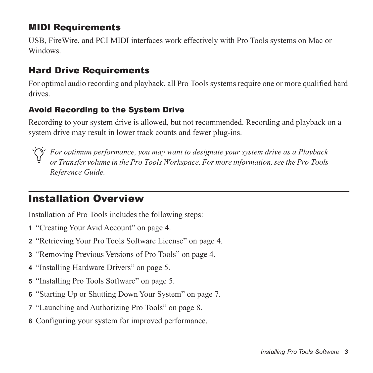### MIDI Requirements

USB, FireWire, and PCI MIDI interfaces work effectively with Pro Tools systems on Mac or Windows.

### Hard Drive Requirements

For optimal audio recording and playback, all Pro Tools systems require one or more qualified hard drives.

### Avoid Recording to the System Drive

Recording to your system drive is allowed, but not recommended. Recording and playback on a system drive may result in lower track counts and fewer plug-ins.

*For optimum performance, you may want to designate your system drive as a Playback or Transfer volume in the Pro Tools Workspace. For more information, see the Pro Tools Reference Guide.*

# Installation Overview

Installation of Pro Tools includes the following steps:

- **1** ["Creating Your Avid Account" on page 4](#page-7-2).
- **2** ["Retrieving Your Pro Tools Software License" on page 4.](#page-7-0)
- **3** ["Removing Previous Versions of Pro Tools" on page 4.](#page-7-1)
- **4** ["Installing Hardware Drivers" on page 5](#page-8-0).
- **5** ["Installing Pro Tools Software" on page 5.](#page-8-1)
- **6** ["Starting Up or Shutting Down Your System" on page 7.](#page-10-0)
- **7** ["Launching and Authorizing Pro Tools" on page 8.](#page-11-0)
- **8** Configuring your system for improved performance.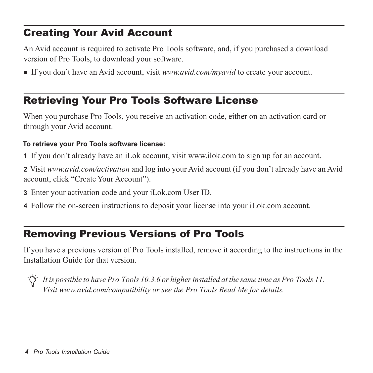# <span id="page-7-2"></span>Creating Your Avid Account

An Avid account is required to activate Pro Tools software, and, if you purchased a download version of Pro Tools, to download your software.

If you don't have an Avid account, visit *www.avid.com/myavid* to create your account.

# <span id="page-7-0"></span>Retrieving Your Pro Tools Software License

When you purchase Pro Tools, you receive an activation code, either on an activation card or through your Avid account.

#### **To retrieve your Pro Tools software license:**

**1** If you don't already have an iLok account, visit www.ilok.com to sign up for an account.

**2** Visit *www.avid.com/activation* and log into your Avid account (if you don't already have an Avid account, click "Create Your Account").

- **3** Enter your activation code and your iLok.com User ID.
- **4** Follow the on-screen instructions to deposit your license into your iLok.com account.

### <span id="page-7-1"></span>Removing Previous Versions of Pro Tools

If you have a previous version of Pro Tools installed, remove it according to the instructions in the Installation Guide for that version.



*It is possible to have Pro Tools 10.3.6 or higher installed at the same time as Pro Tools 11. Visit www.avid.com/compatibility or see the Pro Tools Read Me for details.*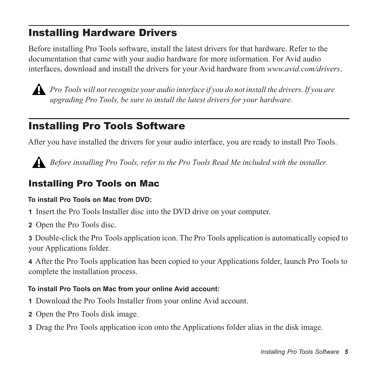# <span id="page-8-0"></span>Installing Hardware Drivers

Before installing Pro Tools software, install the latest drivers for that hardware. Refer to the documentation that came with your audio hardware for more information. For Avid audio interfaces, download and install the drivers for your Avid hardware from *www.avid.com/drivers*.



*Pro Tools will not recognize your audio interface if you do not install the drivers. If you are upgrading Pro Tools, be sure to install the latest drivers for your hardware.*

# <span id="page-8-1"></span>Installing Pro Tools Software

After you have installed the drivers for your audio interface, you are ready to install Pro Tools.

*Before installing Pro Tools, refer to the Pro Tools Read Me included with the installer.*

### Installing Pro Tools on Mac

#### **To install Pro Tools on Mac from DVD:**

- **1** Insert the Pro Tools Installer disc into the DVD drive on your computer.
- **2** Open the Pro Tools disc.

**3** Double-click the Pro Tools application icon. The Pro Tools application is automatically copied to your Applications folder.

**4** After the Pro Tools application has been copied to your Applications folder, launch Pro Tools to complete the installation process.

#### **To install Pro Tools on Mac from your online Avid account:**

- **1** Download the Pro Tools Installer from your online Avid account.
- **2** Open the Pro Tools disk image.
- **3** Drag the Pro Tools application icon onto the Applications folder alias in the disk image.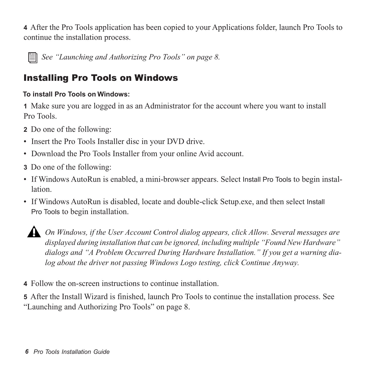**4** After the Pro Tools application has been copied to your Applications folder, launch Pro Tools to continue the installation process.



*See ["Launching and Authorizing Pro Tools" on page 8](#page-11-0).*

### Installing Pro Tools on Windows

#### **To install Pro Tools on Windows:**

**1** Make sure you are logged in as an Administrator for the account where you want to install Pro Tools.

- **2** Do one of the following:
- Insert the Pro Tools Installer disc in your DVD drive.
- Download the Pro Tools Installer from your online Avid account.
- **3** Do one of the following:
- If Windows AutoRun is enabled, a mini-browser appears. Select Install Pro Tools to begin installation.
- If Windows AutoRun is disabled, locate and double-click Setup.exe, and then select Install Pro Tools to begin installation.



*On Windows, if the User Account Control dialog appears, click Allow. Several messages are displayed during installation that can be ignored, including multiple "Found New Hardware" dialogs and "A Problem Occurred During Hardware Installation." If you get a warning dialog about the driver not passing Windows Logo testing, click Continue Anyway.*

**4** Follow the on-screen instructions to continue installation.

**5** After the Install Wizard is finished, launch Pro Tools to continue the installation process. See ["Launching and Authorizing Pro Tools" on page 8](#page-11-0).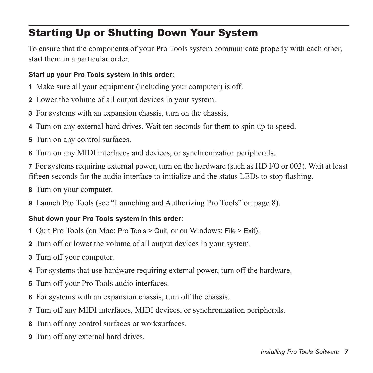# <span id="page-10-0"></span>Starting Up or Shutting Down Your System

To ensure that the components of your Pro Tools system communicate properly with each other, start them in a particular order.

#### **Start up your Pro Tools system in this order:**

- Make sure all your equipment (including your computer) is off.
- Lower the volume of all output devices in your system.
- For systems with an expansion chassis, turn on the chassis.
- Turn on any external hard drives. Wait ten seconds for them to spin up to speed.
- Turn on any control surfaces.
- Turn on any MIDI interfaces and devices, or synchronization peripherals.

 For systems requiring external power, turn on the hardware (such as HD I/O or 003). Wait at least fifteen seconds for the audio interface to initialize and the status LEDs to stop flashing.

- Turn on your computer.
- Launch Pro Tools (see ["Launching and Authorizing Pro Tools" on page 8](#page-11-0)).

#### **Shut down your Pro Tools system in this order:**

- Quit Pro Tools (on Mac: Pro Tools > Quit, or on Windows: File > Exit).
- Turn off or lower the volume of all output devices in your system.
- Turn off your computer.
- For systems that use hardware requiring external power, turn off the hardware.
- Turn off your Pro Tools audio interfaces.
- For systems with an expansion chassis, turn off the chassis.
- Turn off any MIDI interfaces, MIDI devices, or synchronization peripherals.
- Turn off any control surfaces or worksurfaces.
- Turn off any external hard drives.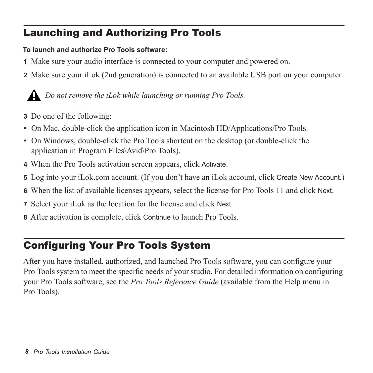# <span id="page-11-0"></span>Launching and Authorizing Pro Tools

#### **To launch and authorize Pro Tools software:**

- **1** Make sure your audio interface is connected to your computer and powered on.
- **2** Make sure your iLok (2nd generation) is connected to an available USB port on your computer.



*Do not remove the iLok while launching or running Pro Tools.*

- **3** Do one of the following:
- On Mac, double-click the application icon in Macintosh HD/Applications/Pro Tools.
- On Windows, double-click the Pro Tools shortcut on the desktop (or double-click the application in Program Files\Avid\Pro Tools).
- **4** When the Pro Tools activation screen appears, click Activate.
- **5** Log into your iLok.com account. (If you don't have an iLok account, click Create New Account.)
- **6** When the list of available licenses appears, select the license for Pro Tools 11 and click Next.
- **7** Select your iLok as the location for the license and click Next.
- **8** After activation is complete, click Continue to launch Pro Tools.

# Configuring Your Pro Tools System

After you have installed, authorized, and launched Pro Tools software, you can configure your Pro Tools system to meet the specific needs of your studio. For detailed information on configuring your Pro Tools software, see the *Pro Tools Reference Guide* (available from the Help menu in Pro Tools).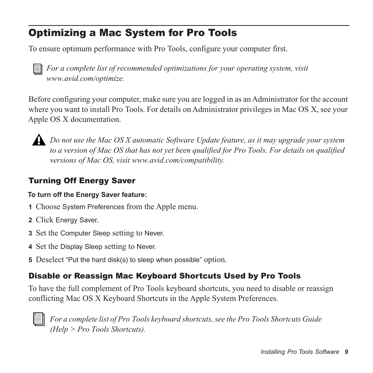# Optimizing a Mac System for Pro Tools

To ensure optimum performance with Pro Tools, configure your computer first.



*For a complete list of recommended optimizations for your operating system, visit www.avid.com/optimize.*

Before configuring your computer, make sure you are logged in as an Administrator for the account where you want to install Pro Tools. For details on Administrator privileges in Mac OS X, see your Apple OS X documentation.



*Do not use the Mac OS X automatic Software Update feature, as it may upgrade your system to a version of Mac OS that has not yet been qualified for Pro Tools. For details on qualified versions of Mac OS, visit www.avid.com/compatibility.*

### Turning Off Energy Saver

#### **To turn off the Energy Saver feature:**

- **1** Choose System Preferences from the Apple menu.
- **2** Click Energy Saver.
- **3** Set the Computer Sleep setting to Never.
- **4** Set the Display Sleep setting to Never.
- **5** Deselect "Put the hard disk(s) to sleep when possible" option.

### Disable or Reassign Mac Keyboard Shortcuts Used by Pro Tools

To have the full complement of Pro Tools keyboard shortcuts, you need to disable or reassign conflicting Mac OS X Keyboard Shortcuts in the Apple System Preferences.



*For a complete list of Pro Tools keyboard shortcuts, see the Pro Tools Shortcuts Guide (Help > Pro Tools Shortcuts).*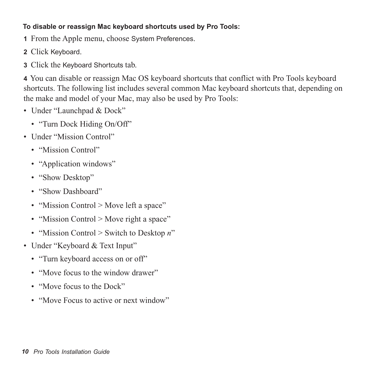#### **To disable or reassign Mac keyboard shortcuts used by Pro Tools:**

- **1** From the Apple menu, choose System Preferences.
- **2** Click Keyboard.
- **3** Click the Keyboard Shortcuts tab.

**4** You can disable or reassign Mac OS keyboard shortcuts that conflict with Pro Tools keyboard shortcuts. The following list includes several common Mac keyboard shortcuts that, depending on the make and model of your Mac, may also be used by Pro Tools:

- Under "Launchpad & Dock"
	- "Turn Dock Hiding On/Off"
- Under "Mission Control"
	- "Mission Control"
	- "Application windows"
	- "Show Desktop"
	- "Show Dashboard"
	- "Mission Control > Move left a space"
	- "Mission Control > Move right a space"
	- "Mission Control > Switch to Desktop *n*"
- Under "Keyboard & Text Input"
	- "Turn keyboard access on or off"
	- "Move focus to the window drawer"
	- "Move focus to the Dock"
	- "Move Focus to active or next window"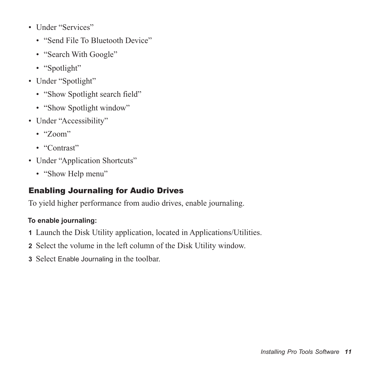- Under "Services"
	- "Send File To Bluetooth Device"
	- "Search With Google"
	- "Spotlight"
- Under "Spotlight"
	- "Show Spotlight search field"
	- "Show Spotlight window"
- Under "Accessibility"
	- "Zoom"
	- "Contrast"
- Under "Application Shortcuts"
	- "Show Help menu"

### Enabling Journaling for Audio Drives

To yield higher performance from audio drives, enable journaling.

#### **To enable journaling:**

- **1** Launch the Disk Utility application, located in Applications/Utilities.
- **2** Select the volume in the left column of the Disk Utility window.
- **3** Select Enable Journaling in the toolbar.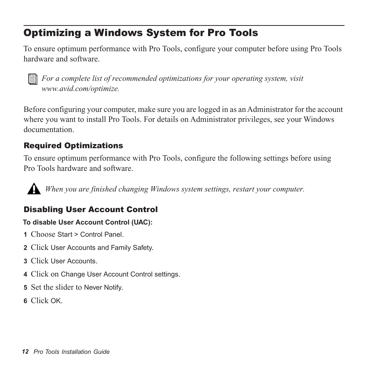# Optimizing a Windows System for Pro Tools

To ensure optimum performance with Pro Tools, configure your computer before using Pro Tools hardware and software.



*For a complete list of recommended optimizations for your operating system, visit www.avid.com/optimize.*

Before configuring your computer, make sure you are logged in as an Administrator for the account where you want to install Pro Tools. For details on Administrator privileges, see your Windows documentation.

### Required Optimizations

To ensure optimum performance with Pro Tools, configure the following settings before using Pro Tools hardware and software.



*When you are finished changing Windows system settings, restart your computer.*

### Disabling User Account Control

#### **To disable User Account Control (UAC):**

- **1** Choose Start > Control Panel.
- **2** Click User Accounts and Family Safety.
- **3** Click User Accounts.
- **4** Click on Change User Account Control settings.
- **5** Set the slider to Never Notify.
- **6** Click OK.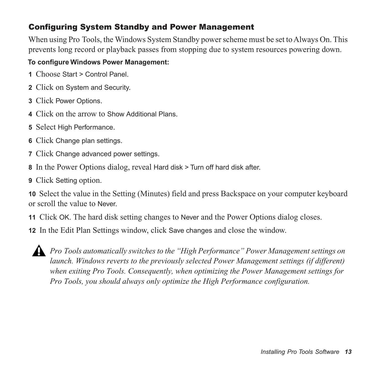#### Configuring System Standby and Power Management

When using Pro Tools, the Windows System Standby power scheme must be set to Always On. This prevents long record or playback passes from stopping due to system resources powering down.

#### **To configure Windows Power Management:**

- **1** Choose Start > Control Panel.
- **2** Click on System and Security.
- **3** Click Power Options.
- **4** Click on the arrow to Show Additional Plans.
- **5** Select High Performance.
- **6** Click Change plan settings.
- **7** Click Change advanced power settings.
- **8** In the Power Options dialog, reveal Hard disk > Turn off hard disk after.
- **9** Click Setting option.

**10** Select the value in the Setting (Minutes) field and press Backspace on your computer keyboard or scroll the value to Never.

- **11** Click OK. The hard disk setting changes to Never and the Power Options dialog closes.
- **12** In the Edit Plan Settings window, click Save changes and close the window.



*Pro Tools automatically switches to the "High Performance" Power Management settings on launch. Windows reverts to the previously selected Power Management settings (if different) when exiting Pro Tools. Consequently, when optimizing the Power Management settings for Pro Tools, you should always only optimize the High Performance configuration.*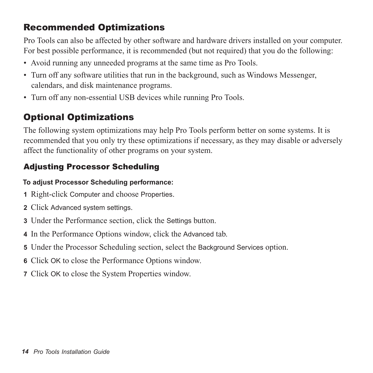### Recommended Optimizations

Pro Tools can also be affected by other software and hardware drivers installed on your computer. For best possible performance, it is recommended (but not required) that you do the following:

- Avoid running any unneeded programs at the same time as Pro Tools.
- Turn off any software utilities that run in the background, such as Windows Messenger, calendars, and disk maintenance programs.
- Turn off any non-essential USB devices while running Pro Tools.

# Optional Optimizations

The following system optimizations may help Pro Tools perform better on some systems. It is recommended that you only try these optimizations if necessary, as they may disable or adversely affect the functionality of other programs on your system.

### Adjusting Processor Scheduling

#### **To adjust Processor Scheduling performance:**

- **1** Right-click Computer and choose Properties.
- **2** Click Advanced system settings.
- **3** Under the Performance section, click the Settings button.
- **4** In the Performance Options window, click the Advanced tab.
- **5** Under the Processor Scheduling section, select the Background Services option.
- **6** Click OK to close the Performance Options window.
- **7** Click OK to close the System Properties window.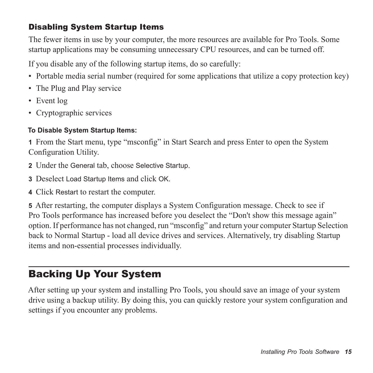#### Disabling System Startup Items

The fewer items in use by your computer, the more resources are available for Pro Tools. Some startup applications may be consuming unnecessary CPU resources, and can be turned off.

If you disable any of the following startup items, do so carefully:

- Portable media serial number (required for some applications that utilize a copy protection key)
- The Plug and Play service
- Event log
- Cryptographic services

#### **To Disable System Startup Items:**

**1** From the Start menu, type "msconfig" in Start Search and press Enter to open the System Configuration Utility.

- **2** Under the General tab, choose Selective Startup.
- **3** Deselect Load Startup Items and click OK.
- **4** Click Restart to restart the computer.

**5** After restarting, the computer displays a System Configuration message. Check to see if Pro Tools performance has increased before you deselect the "Don't show this message again" option. If performance has not changed, run "msconfig" and return your computer Startup Selection back to Normal Startup - load all device drives and services. Alternatively, try disabling Startup items and non-essential processes individually.

# Backing Up Your System

After setting up your system and installing Pro Tools, you should save an image of your system drive using a backup utility. By doing this, you can quickly restore your system configuration and settings if you encounter any problems.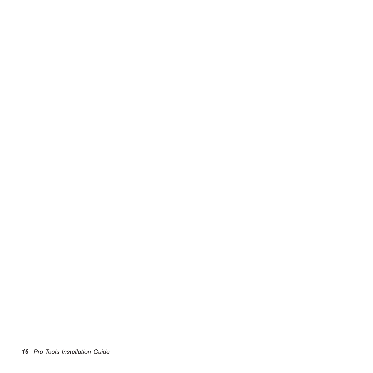*Pro Tools Installation Guide*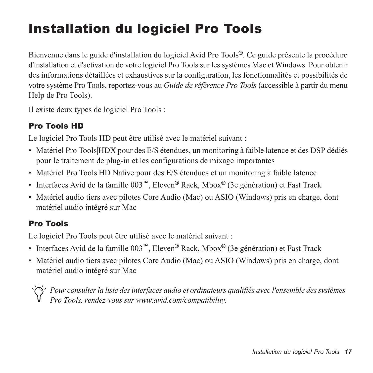# <span id="page-20-0"></span>Installation du logiciel Pro Tools

Bienvenue dans le guide d'installation du logiciel Avid Pro Tools**®**. Ce guide présente la procédure d'installation et d'activation de votre logiciel Pro Tools sur les systèmes Mac et Windows. Pour obtenir des informations détaillées et exhaustives sur la configuration, les fonctionnalités et possibilités de votre système Pro Tools, reportez-vous au *Guide de référence Pro Tools* (accessible à partir du menu Help de Pro Tools).

Il existe deux types de logiciel Pro Tools :

### Pro Tools HD

Le logiciel Pro Tools HD peut être utilisé avec le matériel suivant :

- Matériel Pro Tools|HDX pour des E/S étendues, un monitoring à faible latence et des DSP dédiés pour le traitement de plug-in et les configurations de mixage importantes
- Matériel Pro Tools|HD Native pour des E/S étendues et un monitoring à faible latence
- Interfaces Avid de la famille 003**™**, Eleven**®** Rack, Mbox**®** (3e génération) et Fast Track
- Matériel audio tiers avec pilotes Core Audio (Mac) ou ASIO (Windows) pris en charge, dont matériel audio intégré sur Mac

### Pro Tools

Le logiciel Pro Tools peut être utilisé avec le matériel suivant :

- Interfaces Avid de la famille 003**™**, Eleven**®** Rack, Mbox**®** (3e génération) et Fast Track
- Matériel audio tiers avec pilotes Core Audio (Mac) ou ASIO (Windows) pris en charge, dont matériel audio intégré sur Mac

*Pour consulter la liste des interfaces audio et ordinateurs qualifiés avec l'ensemble des systèmes Pro Tools, rendez-vous sur www.avid.com/compatibility.*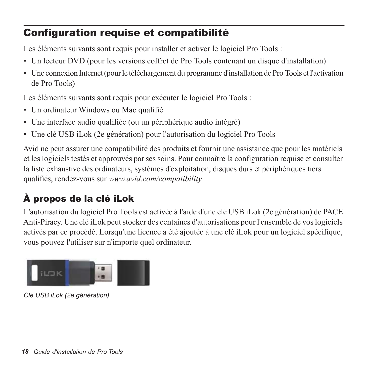# Configuration requise et compatibilité

Les éléments suivants sont requis pour installer et activer le logiciel Pro Tools :

- Un lecteur DVD (pour les versions coffret de Pro Tools contenant un disque d'installation)
- Une connexion Internet (pour le téléchargement du programme d'installation de Pro Tools et l'activation de Pro Tools)

Les éléments suivants sont requis pour exécuter le logiciel Pro Tools :

- Un ordinateur Windows ou Mac qualifié
- Une interface audio qualifiée (ou un périphérique audio intégré)
- Une clé USB iLok (2e génération) pour l'autorisation du logiciel Pro Tools

Avid ne peut assurer une compatibilité des produits et fournir une assistance que pour les matériels et les logiciels testés et approuvés par ses soins. Pour connaître la configuration requise et consulter la liste exhaustive des ordinateurs, systèmes d'exploitation, disques durs et périphériques tiers qualifiés, rendez-vous sur *www.avid.com/compatibility.*

# À propos de la clé iLok

L'autorisation du logiciel Pro Tools est activée à l'aide d'une clé USB iLok (2e génération) de PACE Anti-Piracy. Une clé iLok peut stocker des centaines d'autorisations pour l'ensemble de vos logiciels activés par ce procédé. Lorsqu'une licence a été ajoutée à une clé iLok pour un logiciel spécifique, vous pouvez l'utiliser sur n'importe quel ordinateur.



*Clé USB iLok (2e génération)*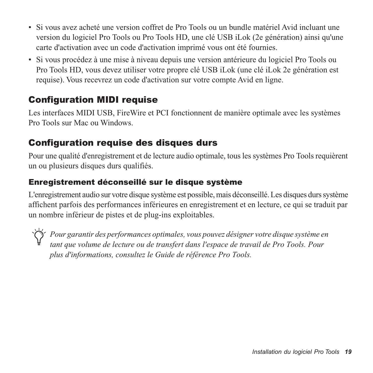- Si vous avez acheté une version coffret de Pro Tools ou un bundle matériel Avid incluant une version du logiciel Pro Tools ou Pro Tools HD, une clé USB iLok (2e génération) ainsi qu'une carte d'activation avec un code d'activation imprimé vous ont été fournies.
- Si vous procédez à une mise à niveau depuis une version antérieure du logiciel Pro Tools ou Pro Tools HD, vous devez utiliser votre propre clé USB iLok (une clé iLok 2e génération est requise). Vous recevrez un code d'activation sur votre compte Avid en ligne.

### Configuration MIDI requise

Les interfaces MIDI USB, FireWire et PCI fonctionnent de manière optimale avec les systèmes Pro Tools sur Mac ou Windows.

### Configuration requise des disques durs

Pour une qualité d'enregistrement et de lecture audio optimale, tous les systèmes Pro Tools requièrent un ou plusieurs disques durs qualifiés.

#### Enregistrement déconseillé sur le disque système

L'enregistrement audio sur votre disque système est possible, mais déconseillé. Les disques durs système affichent parfois des performances inférieures en enregistrement et en lecture, ce qui se traduit par un nombre inférieur de pistes et de plug-ins exploitables.



*Pour garantir des performances optimales, vous pouvez désigner votre disque système en tant que volume de lecture ou de transfert dans l'espace de travail de Pro Tools. Pour plus d'informations, consultez le Guide de référence Pro Tools.*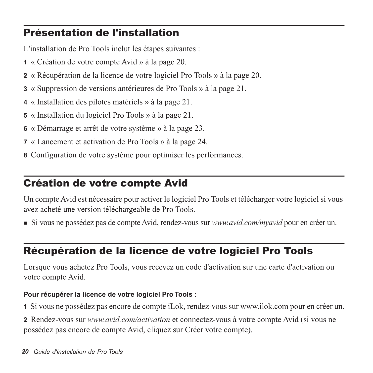# Présentation de l'installation

L'installation de Pro Tools inclut les étapes suivantes :

- **1** [« Création de votre compte Avid » à la page 20.](#page-23-0)
- **2** [« Récupération de la licence de votre logiciel Pro Tools » à la](#page-23-1) page 20.
- **3** [« Suppression de versions antérieures de Pro Tools » à la](#page-24-0) page 21.
- **4** [« Installation des pilotes matériels » à la page 21.](#page-24-1)
- **5** [« Installation du logiciel Pro Tools » à la](#page-24-2) page 21.
- **6** [« Démarrage et arrêt de votre système » à la page 23.](#page-26-0)
- **7** [« Lancement et activation de Pro Tools » à la page 24.](#page-27-0)
- **8** Configuration de votre système pour optimiser les performances.

# <span id="page-23-0"></span>Création de votre compte Avid

Un compte Avid est nécessaire pour activer le logiciel Pro Tools et télécharger votre logiciel si vous avez acheté une version téléchargeable de Pro Tools.

Si vous ne possédez pas de compte Avid, rendez-vous sur *www.avid.com/myavid* pour en créer un.

# <span id="page-23-1"></span>Récupération de la licence de votre logiciel Pro Tools

Lorsque vous achetez Pro Tools, vous recevez un code d'activation sur une carte d'activation ou votre compte Avid.

#### **Pour récupérer la licence de votre logiciel Pro Tools :**

**1** Si vous ne possédez pas encore de compte iLok, rendez-vous sur www.ilok.com pour en créer un.

**2** Rendez-vous sur *www.avid.com/activation* et connectez-vous à votre compte Avid (si vous ne possédez pas encore de compte Avid, cliquez sur Créer votre compte).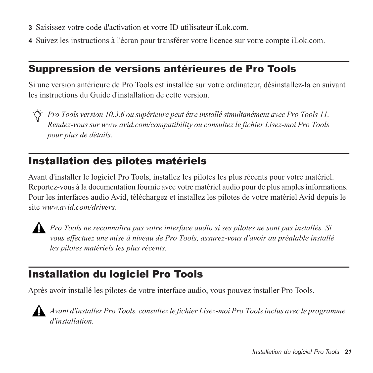- **3** Saisissez votre code d'activation et votre ID utilisateur iLok.com.
- **4** Suivez les instructions à l'écran pour transférer votre licence sur votre compte iLok.com.

### <span id="page-24-0"></span>Suppression de versions antérieures de Pro Tools

Si une version antérieure de Pro Tools est installée sur votre ordinateur, désinstallez-la en suivant les instructions du Guide d'installation de cette version.

*Pro Tools version 10.3.6 ou supérieure peut être installé simultanément avec Pro Tools 11. Rendez-vous sur www.avid.com/compatibility ou consultez le fichier Lisez-moi Pro Tools pour plus de détails.*

# <span id="page-24-1"></span>Installation des pilotes matériels

Avant d'installer le logiciel Pro Tools, installez les pilotes les plus récents pour votre matériel. Reportez-vous à la documentation fournie avec votre matériel audio pour de plus amples informations. Pour les interfaces audio Avid, téléchargez et installez les pilotes de votre matériel Avid depuis le site *www.avid.com/drivers*.



*Pro Tools ne reconnaîtra pas votre interface audio si ses pilotes ne sont pas installés. Si vous effectuez une mise à niveau de Pro Tools, assurez-vous d'avoir au préalable installé les pilotes matériels les plus récents.*

# <span id="page-24-2"></span>Installation du logiciel Pro Tools

Après avoir installé les pilotes de votre interface audio, vous pouvez installer Pro Tools.



*Avant d'installer Pro Tools, consultez le fichier Lisez-moi Pro Tools inclus avec le programme d'installation.*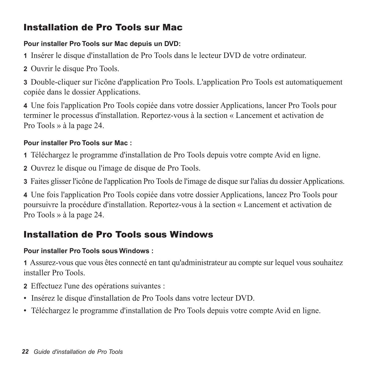### Installation de Pro Tools sur Mac

#### **Pour installer Pro Tools sur Mac depuis un DVD:**

**1** Insérer le disque d'installation de Pro Tools dans le lecteur DVD de votre ordinateur.

**2** Ouvrir le disque Pro Tools.

**3** Double-cliquer sur l'icône d'application Pro Tools. L'application Pro Tools est automatiquement copiée dans le dossier Applications.

**4** Une fois l'application Pro Tools copiée dans votre dossier Applications, lancer Pro Tools pour terminer le processus d'installation. Reportez-vous à la section [« Lancement et activation de](#page-27-0) [Pro Tools » à la](#page-27-0) page 24.

#### **Pour installer Pro Tools sur Mac :**

**1** Téléchargez le programme d'installation de Pro Tools depuis votre compte Avid en ligne.

**2** Ouvrez le disque ou l'image de disque de Pro Tools.

**3** Faites glisser l'icône de l'application Pro Tools de l'image de disque sur l'alias du dossier Applications.

**4** Une fois l'application Pro Tools copiée dans votre dossier Applications, lancez Pro Tools pour poursuivre la procédure d'installation. Reportez-vous à la section [« Lancement et activation de](#page-27-0) [Pro Tools » à la](#page-27-0) page 24.

### Installation de Pro Tools sous Windows

#### **Pour installer Pro Tools sous Windows :**

**1** Assurez-vous que vous êtes connecté en tant qu'administrateur au compte sur lequel vous souhaitez installer Pro Tools.

- **2** Effectuez l'une des opérations suivantes :
- Insérez le disque d'installation de Pro Tools dans votre lecteur DVD.
- Téléchargez le programme d'installation de Pro Tools depuis votre compte Avid en ligne.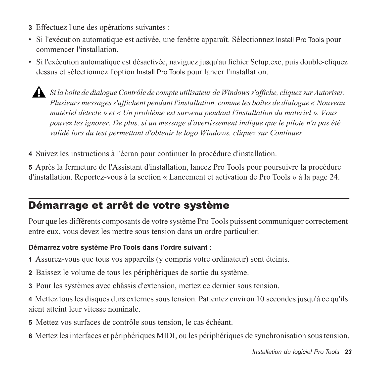- **3** Effectuez l'une des opérations suivantes :
- Si l'exécution automatique est activée, une fenêtre apparaît. Sélectionnez Install Pro Tools pour commencer l'installation.
- Si l'exécution automatique est désactivée, naviguez jusqu'au fichier Setup.exe, puis double-cliquez dessus et sélectionnez l'option Install Pro Tools pour lancer l'installation.
	- *Si la boîte de dialogue Contrôle de compte utilisateur de Windows s'affiche, cliquez sur Autoriser. Plusieurs messages s'affichent pendant l'installation, comme les boîtes de dialogue « Nouveau matériel détecté » et « Un problème est survenu pendant l'installation du matériel ». Vous pouvez les ignorer. De plus, si un message d'avertissement indique que le pilote n'a pas été validé lors du test permettant d'obtenir le logo Windows, cliquez sur Continuer.*
- **4** Suivez les instructions à l'écran pour continuer la procédure d'installation.

**5** Après la fermeture de l'Assistant d'installation, lancez Pro Tools pour poursuivre la procédure d'installation. Reportez-vous à la section [« Lancement et activation de Pro Tools » à la page 24.](#page-27-0)

### <span id="page-26-0"></span>Démarrage et arrêt de votre système

Pour que les différents composants de votre système Pro Tools puissent communiquer correctement entre eux, vous devez les mettre sous tension dans un ordre particulier.

#### **Démarrez votre système Pro Tools dans l'ordre suivant :**

- **1** Assurez-vous que tous vos appareils (y compris votre ordinateur) sont éteints.
- **2** Baissez le volume de tous les périphériques de sortie du système.
- **3** Pour les systèmes avec châssis d'extension, mettez ce dernier sous tension.
- **4** Mettez tous les disques durs externes sous tension. Patientez environ 10 secondes jusqu'à ce qu'ils aient atteint leur vitesse nominale.
- **5** Mettez vos surfaces de contrôle sous tension, le cas échéant.
- **6** Mettez les interfaces et périphériques MIDI, ou les périphériques de synchronisation sous tension.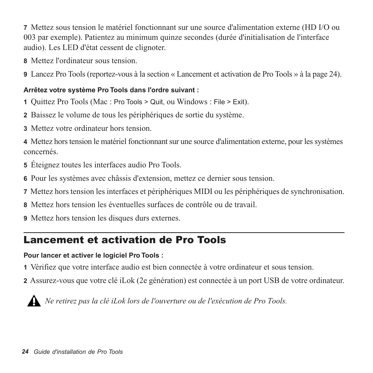Mettez sous tension le matériel fonctionnant sur une source d'alimentation externe (HD I/O ou 003 par exemple). Patientez au minimum quinze secondes (durée d'initialisation de l'interface audio). Les LED d'état cessent de clignoter.

- Mettez l'ordinateur sous tension.
- Lancez Pro Tools (reportez-vous à la section [« Lancement et activation de Pro Tools » à la page 24](#page-27-0)).

#### **Arrêtez votre système Pro Tools dans l'ordre suivant :**

- Quittez Pro Tools (Mac : Pro Tools > Quit, ou Windows : File > Exit).
- Baissez le volume de tous les périphériques de sortie du système.
- Mettez votre ordinateur hors tension.

 Mettez hors tension le matériel fonctionnant sur une source d'alimentation externe, pour les systèmes concernés.

- Éteignez toutes les interfaces audio Pro Tools.
- Pour les systèmes avec châssis d'extension, mettez ce dernier sous tension.
- Mettez hors tension les interfaces et périphériques MIDI ou les périphériques de synchronisation.
- Mettez hors tension les éventuelles surfaces de contrôle ou de travail.
- Mettez hors tension les disques durs externes.

# <span id="page-27-0"></span>Lancement et activation de Pro Tools

#### **Pour lancer et activer le logiciel Pro Tools :**

- Vérifiez que votre interface audio est bien connectée à votre ordinateur et sous tension.
- Assurez-vous que votre clé iLok (2e génération) est connectée à un port USB de votre ordinateur.

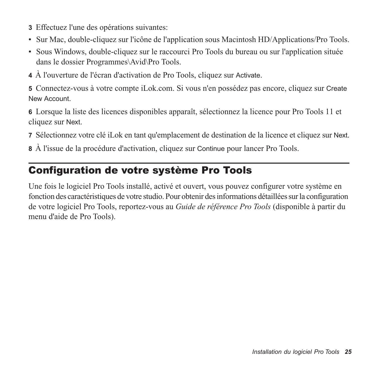- **3** Effectuez l'une des opérations suivantes:
- Sur Mac, double-cliquez sur l'icône de l'application sous Macintosh HD/Applications/Pro Tools.
- Sous Windows, double-cliquez sur le raccourci Pro Tools du bureau ou sur l'application située dans le dossier Programmes\Avid\Pro Tools.
- **4** À l'ouverture de l'écran d'activation de Pro Tools, cliquez sur Activate.
- **5** Connectez-vous à votre compte iLok.com. Si vous n'en possédez pas encore, cliquez sur Create New Account.
- **6** Lorsque la liste des licences disponibles apparaît, sélectionnez la licence pour Pro Tools 11 et cliquez sur Next.
- **7** Sélectionnez votre clé iLok en tant qu'emplacement de destination de la licence et cliquez sur Next.
- **8** À l'issue de la procédure d'activation, cliquez sur Continue pour lancer Pro Tools.

# Configuration de votre système Pro Tools

Une fois le logiciel Pro Tools installé, activé et ouvert, vous pouvez configurer votre système en fonction des caractéristiques de votre studio. Pour obtenir des informations détaillées sur la configuration de votre logiciel Pro Tools, reportez-vous au *Guide de référence Pro Tools* (disponible à partir du menu d'aide de Pro Tools).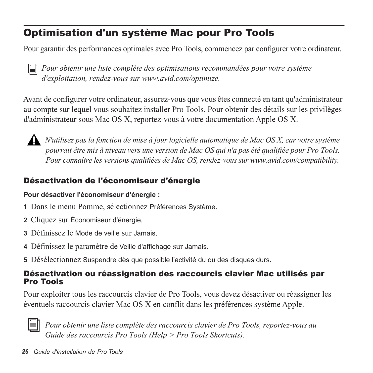# Optimisation d'un système Mac pour Pro Tools

Pour garantir des performances optimales avec Pro Tools, commencez par configurer votre ordinateur.

*Pour obtenir une liste complète des optimisations recommandées pour votre système d'exploitation, rendez-vous sur www.avid.com/optimize.*

Avant de configurer votre ordinateur, assurez-vous que vous êtes connecté en tant qu'administrateur au compte sur lequel vous souhaitez installer Pro Tools. Pour obtenir des détails sur les privilèges d'administrateur sous Mac OS X, reportez-vous à votre documentation Apple OS X.



*N'utilisez pas la fonction de mise à jour logicielle automatique de Mac OS X, car votre système pourrait être mis à niveau vers une version de Mac OS qui n'a pas été qualifiée pour Pro Tools. Pour connaître les versions qualifiées de Mac OS, rendez-vous sur www.avid.com/compatibility.*

### Désactivation de l'économiseur d'énergie

#### **Pour désactiver l'économiseur d'énergie :**

- **1** Dans le menu Pomme, sélectionnez Préférences Système.
- **2** Cliquez sur Économiseur d'énergie.
- **3** Définissez le Mode de veille sur Jamais.
- **4** Définissez le paramètre de Veille d'affichage sur Jamais.
- **5** Désélectionnez Suspendre dès que possible l'activité du ou des disques durs.

#### Désactivation ou réassignation des raccourcis clavier Mac utilisés par Pro Tools

Pour exploiter tous les raccourcis clavier de Pro Tools, vous devez désactiver ou réassigner les éventuels raccourcis clavier Mac OS X en conflit dans les préférences système Apple.



*Pour obtenir une liste complète des raccourcis clavier de Pro Tools, reportez-vous au Guide des raccourcis Pro Tools (Help > Pro Tools Shortcuts).*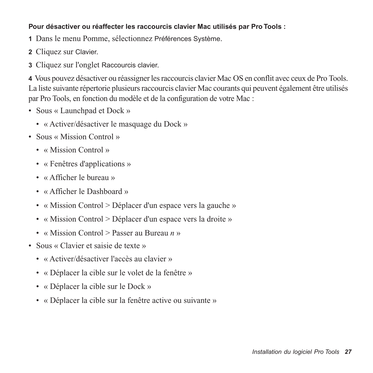#### **Pour désactiver ou réaffecter les raccourcis clavier Mac utilisés par Pro Tools :**

- **1** Dans le menu Pomme, sélectionnez Préférences Système.
- **2** Cliquez sur Clavier.
- **3** Cliquez sur l'onglet Raccourcis clavier.

**4** Vous pouvez désactiver ou réassigner les raccourcis clavier Mac OS en conflit avec ceux de Pro Tools. La liste suivante répertorie plusieurs raccourcis clavier Mac courants qui peuvent également être utilisés par Pro Tools, en fonction du modèle et de la configuration de votre Mac :

- Sous « Launchpad et Dock »
	- « Activer/désactiver le masquage du Dock »
- Sous « Mission Control »
	- « Mission Control »
	- « Fenêtres d'applications »
	- « Afficher le bureau »
	- « Afficher le Dashboard »
	- « Mission Control > Déplacer d'un espace vers la gauche »
	- « Mission Control > Déplacer d'un espace vers la droite »
	- « Mission Control > Passer au Bureau *n* »
- Sous « Clavier et saisie de texte »
	- « Activer/désactiver l'accès au clavier »
	- « Déplacer la cible sur le volet de la fenêtre »
	- « Déplacer la cible sur le Dock »
	- « Déplacer la cible sur la fenêtre active ou suivante »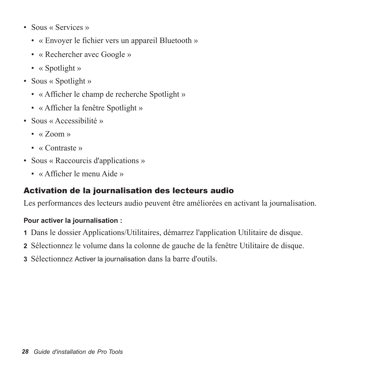- Sous « Services »
	- « Envoyer le fichier vers un appareil Bluetooth »
	- « Rechercher avec Google »
	- « Spotlight »
- Sous « Spotlight »
	- « Afficher le champ de recherche Spotlight »
	- « Afficher la fenêtre Spotlight »
- Sous « Accessibilité »
	- « Zoom »
	- « Contraste »
- Sous « Raccourcis d'applications »
	- « Afficher le menu Aide »

### Activation de la journalisation des lecteurs audio

Les performances des lecteurs audio peuvent être améliorées en activant la journalisation.

#### **Pour activer la journalisation :**

- **1** Dans le dossier Applications/Utilitaires, démarrez l'application Utilitaire de disque.
- **2** Sélectionnez le volume dans la colonne de gauche de la fenêtre Utilitaire de disque.
- **3** Sélectionnez Activer la journalisation dans la barre d'outils.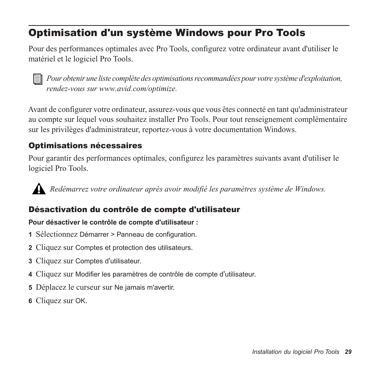# Optimisation d'un système Windows pour Pro Tools

Pour des performances optimales avec Pro Tools, configurez votre ordinateur avant d'utiliser le matériel et le logiciel Pro Tools.



*Pour obtenir uneliste complète des optimisations recommandées pour votre système d'exploitation, rendez-vous sur www.avid.com/optimize.*

Avant de configurer votre ordinateur, assurez-vous que vous êtes connecté en tant qu'administrateur au compte sur lequel vous souhaitez installer Pro Tools. Pour tout renseignement complémentaire sur les privilèges d'administrateur, reportez-vous à votre documentation Windows.

#### Optimisations nécessaires

Pour garantir des performances optimales, configurez les paramètres suivants avant d'utiliser le logiciel Pro Tools.



*Redémarrez votre ordinateur après avoir modifié les paramètres système de Windows.*

### Désactivation du contrôle de compte d'utilisateur

#### **Pour désactiver le contrôle de compte d'utilisateur :**

- **1** Sélectionnez Démarrer > Panneau de configuration.
- **2** Cliquez sur Comptes et protection des utilisateurs.
- **3** Cliquez sur Comptes d'utilisateur.
- **4** Cliquez sur Modifier les paramètres de contrôle de compte d'utilisateur.
- **5** Déplacez le curseur sur Ne jamais m'avertir.
- **6** Cliquez sur OK.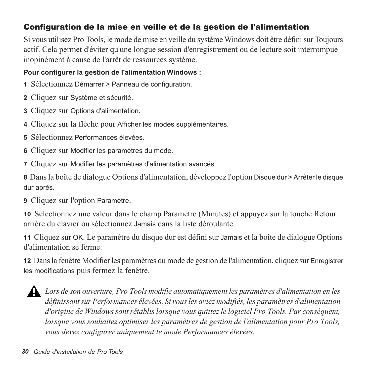### Configuration de la mise en veille et de la gestion de l'alimentation

Si vous utilisez Pro Tools, le mode de mise en veille du systèmeWindows doit être défini sur Toujours actif. Cela permet d'éviter qu'une longue session d'enregistrement ou de lecture soit interrompue inopinément à cause de l'arrêt de ressources système.

#### **Pour configurer la gestion de l'alimentation Windows :**

- **1** Sélectionnez Démarrer > Panneau de configuration.
- **2** Cliquez sur Système et sécurité.
- **3** Cliquez sur Options d'alimentation.
- **4** Cliquez sur la flèche pour Afficher les modes supplémentaires.
- **5** Sélectionnez Performances élevées.
- **6** Cliquez sur Modifier les paramètres du mode.
- **7** Cliquez sur Modifier les paramètres d'alimentation avancés.

**8** Dans la boîte de dialogue Options d'alimentation, développez l'option Disque dur > Arrêter le disque dur après.

**9** Cliquez sur l'option Paramètre.

**10** Sélectionnez une valeur dans le champ Paramètre (Minutes) et appuyez sur la touche Retour arrière du clavier ou sélectionnez Jamais dans la liste déroulante.

**11** Cliquez sur OK. Le paramètre du disque dur est défini sur Jamais et la boîte de dialogue Options d'alimentation se ferme.

**12** Dans la fenêtre Modifier les paramètres du mode de gestion de l'alimentation, cliquez sur Enregistrer les modifications puis fermez la fenêtre.



*Lors de son ouverture, Pro Tools modifie automatiquement les paramètres d'alimentation en les définissant sur Performances élevées. Si vous les aviez modifiés, les paramètres d'alimentation d'origine de Windows sont rétablis lorsque vous quittez le logiciel Pro Tools. Par conséquent, lorsque vous souhaitez optimiser les paramètres de gestion de l'alimentation pour Pro Tools, vous devez configurer uniquement le mode Performances élevées.*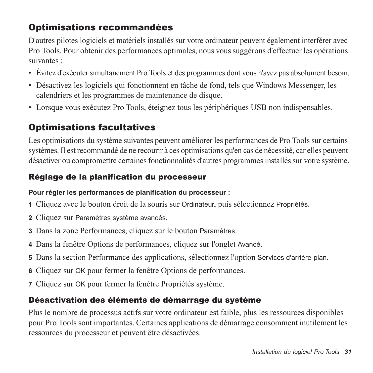### Optimisations recommandées

D'autres pilotes logiciels et matériels installés sur votre ordinateur peuvent également interférer avec Pro Tools. Pour obtenir des performances optimales, nous vous suggérons d'effectuer les opérations suivantes :

- Évitez d'exécuter simultanément Pro Tools et des programmes dont vous n'avez pas absolument besoin.
- Désactivez les logiciels qui fonctionnent en tâche de fond, tels que Windows Messenger, les calendriers et les programmes de maintenance de disque.
- Lorsque vous exécutez Pro Tools, éteignez tous les périphériques USB non indispensables.

### Optimisations facultatives

Les optimisations du système suivantes peuvent améliorer les performances de Pro Tools sur certains systèmes. Il est recommandé de ne recourir à ces optimisations qu'en cas de nécessité, car elles peuvent désactiver ou compromettre certaines fonctionnalités d'autres programmes installés sur votre système.

### Réglage de la planification du processeur

#### **Pour régler les performances de planification du processeur :**

- **1** Cliquez avec le bouton droit de la souris sur Ordinateur, puis sélectionnez Propriétés.
- **2** Cliquez sur Paramètres système avancés.
- **3** Dans la zone Performances, cliquez sur le bouton Paramètres.
- **4** Dans la fenêtre Options de performances, cliquez sur l'onglet Avancé.
- **5** Dans la section Performance des applications, sélectionnez l'option Services d'arrière-plan.
- **6** Cliquez sur OK pour fermer la fenêtre Options de performances.
- **7** Cliquez sur OK pour fermer la fenêtre Propriétés système.

### Désactivation des éléments de démarrage du système

Plus le nombre de processus actifs sur votre ordinateur est faible, plus les ressources disponibles pour Pro Tools sont importantes. Certaines applications de démarrage consomment inutilement les ressources du processeur et peuvent être désactivées.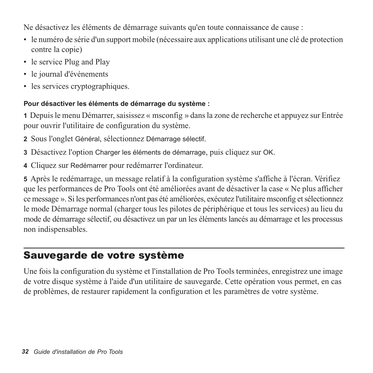Ne désactivez les éléments de démarrage suivants qu'en toute connaissance de cause :

- le numéro de série d'un support mobile (nécessaire aux applications utilisant une clé de protection contre la copie)
- le service Plug and Play
- le journal d'événements
- les services cryptographiques.

#### **Pour désactiver les éléments de démarrage du système :**

**1** Depuis le menu Démarrer, saisissez « msconfig » dans la zone de recherche et appuyez sur Entrée pour ouvrir l'utilitaire de configuration du système.

- **2** Sous l'onglet Général, sélectionnez Démarrage sélectif.
- **3** Désactivez l'option Charger les éléments de démarrage, puis cliquez sur OK.
- **4** Cliquez sur Redémarrer pour redémarrer l'ordinateur.

**5** Après le redémarrage, un message relatif à la configuration système s'affiche à l'écran. Vérifiez que les performances de Pro Tools ont été améliorées avant de désactiver la case « Ne plus afficher ce message ». Si les performances n'ont pas été améliorées, exécutez l'utilitaire msconfig et sélectionnez le mode Démarrage normal (charger tous les pilotes de périphérique et tous les services) au lieu du mode de démarrage sélectif, ou désactivez un par un les éléments lancés au démarrage et les processus non indispensables.

# Sauvegarde de votre système

Une fois la configuration du système et l'installation de Pro Tools terminées, enregistrez une image de votre disque système à l'aide d'un utilitaire de sauvegarde. Cette opération vous permet, en cas de problèmes, de restaurer rapidement la configuration et les paramètres de votre système.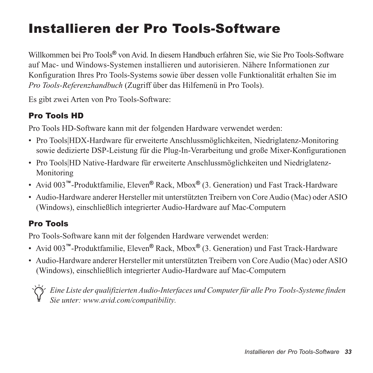# Installieren der Pro Tools-Software

Willkommen bei Pro Tools**®** von Avid. In diesem Handbuch erfahren Sie, wie Sie Pro Tools-Software auf Mac- und Windows-Systemen installieren und autorisieren. Nähere Informationen zur Konfiguration Ihres Pro Tools-Systems sowie über dessen volle Funktionalität erhalten Sie im *Pro Tools-Referenzhandbuch* (Zugriff über das Hilfemenü in Pro Tools).

Es gibt zwei Arten von Pro Tools-Software:

### Pro Tools HD

Pro Tools HD-Software kann mit der folgenden Hardware verwendet werden:

- Pro Tools|HDX-Hardware für erweiterte Anschlussmöglichkeiten, Niedriglatenz-Monitoring sowie dedizierte DSP-Leistung für die Plug-In-Verarbeitung und große Mixer-Konfigurationen
- Pro Tools|HD Native-Hardware für erweiterte Anschlussmöglichkeiten und Niedriglatenz-Monitoring
- Avid 003**™**-Produktfamilie, Eleven**®** Rack, Mbox**®** (3. Generation) und Fast Track-Hardware
- Audio-Hardware anderer Hersteller mit unterstützten Treibern von Core Audio (Mac) oder ASIO (Windows), einschließlich integrierter Audio-Hardware auf Mac-Computern

### Pro Tools

Pro Tools-Software kann mit der folgenden Hardware verwendet werden:

- Avid 003**™**-Produktfamilie, Eleven**®** Rack, Mbox**®** (3. Generation) und Fast Track-Hardware
- Audio-Hardware anderer Hersteller mit unterstützten Treibern von Core Audio (Mac) oder ASIO (Windows), einschließlich integrierter Audio-Hardware auf Mac-Computern

*Eine Liste der qualifizierten Audio-Interfaces und Computer für alle Pro Tools-Systeme finden Sie unter: www.avid.com/compatibility.*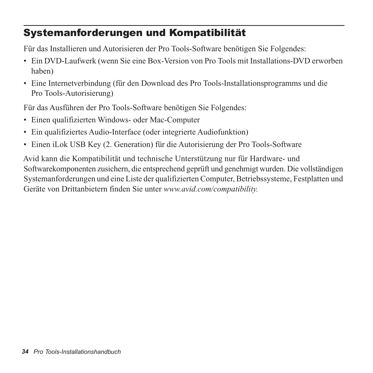## Systemanforderungen und Kompatibilität

Für das Installieren und Autorisieren der Pro Tools-Software benötigen Sie Folgendes:

- Ein DVD-Laufwerk (wenn Sie eine Box-Version von Pro Tools mit Installations-DVD erworben haben)
- Eine Internetverbindung (für den Download des Pro Tools-Installationsprogramms und die Pro Tools-Autorisierung)

Für das Ausführen der Pro Tools-Software benötigen Sie Folgendes:

- Einen qualifizierten Windows- oder Mac-Computer
- Ein qualifiziertes Audio-Interface (oder integrierte Audiofunktion)
- Einen iLok USB Key (2. Generation) für die Autorisierung der Pro Tools-Software

Avid kann die Kompatibilität und technische Unterstützung nur für Hardware- und Softwarekomponenten zusichern, die entsprechend geprüft und genehmigt wurden. Die vollständigen Systemanforderungen und eine Liste der qualifizierten Computer, Betriebssysteme, Festplatten und Geräte von Drittanbietern finden Sie unter *www.avid.com/compatibility.*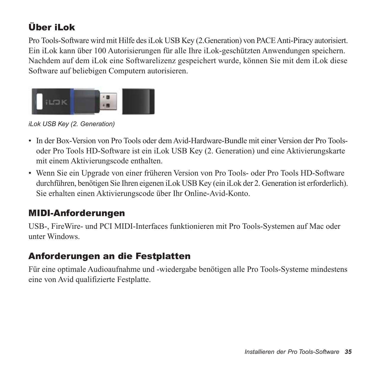## Über iLok

Pro Tools-Software wird mit Hilfe des iLok USB Key (2.Generation) von PACEAnti-Piracy autorisiert. Ein iLok kann über 100 Autorisierungen für alle Ihre iLok-geschützten Anwendungen speichern. Nachdem auf dem iLok eine Softwarelizenz gespeichert wurde, können Sie mit dem iLok diese Software auf beliebigen Computern autorisieren.



*iLok USB Key (2. Generation)*

- In der Box-Version von Pro Tools oder dem Avid-Hardware-Bundle mit einer Version der Pro Toolsoder Pro Tools HD-Software ist ein iLok USB Key (2. Generation) und eine Aktivierungskarte mit einem Aktivierungscode enthalten.
- Wenn Sie ein Upgrade von einer früheren Version von Pro Tools- oder Pro Tools HD-Software durchführen, benötigen Sie Ihren eigenen iLok USB Key (ein iLok der 2. Generation ist erforderlich). Sie erhalten einen Aktivierungscode über Ihr Online-Avid-Konto.

## MIDI-Anforderungen

USB-, FireWire- und PCI MIDI-Interfaces funktionieren mit Pro Tools-Systemen auf Mac oder unter Windows.

## Anforderungen an die Festplatten

Für eine optimale Audioaufnahme und -wiedergabe benötigen alle Pro Tools-Systeme mindestens eine von Avid qualifizierte Festplatte.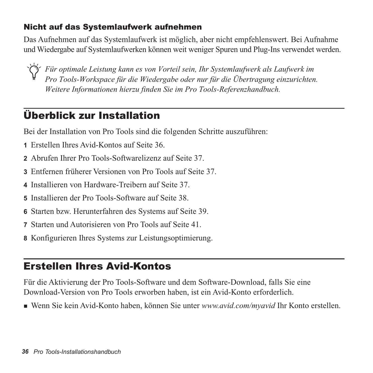### Nicht auf das Systemlaufwerk aufnehmen

Das Aufnehmen auf das Systemlaufwerk ist möglich, aber nicht empfehlenswert. Bei Aufnahme und Wiedergabe auf Systemlaufwerken können weit weniger Spuren und Plug-Ins verwendet werden.

*Für optimale Leistung kann es von Vorteil sein, Ihr Systemlaufwerk als Laufwerk im Pro Tools-Workspace für die Wiedergabe oder nur für die Übertragung einzurichten. Weitere Informationen hierzu finden Sie im Pro Tools-Referenzhandbuch.*

## Überblick zur Installation

Bei der Installation von Pro Tools sind die folgenden Schritte auszuführen:

- **1** [Erstellen Ihres Avid-Kontos auf Seite 36](#page-39-0).
- **2** [Abrufen Ihrer Pro Tools-Softwarelizenz auf Seite 37](#page-40-0).
- **3** [Entfernen früherer Versionen von Pro Tools auf Seite 37.](#page-40-1)
- **4** [Installieren von Hardware-Treibern auf Seite 37.](#page-40-2)
- **5** [Installieren der Pro Tools-Software auf Seite 38.](#page-41-0)
- **6** [Starten bzw. Herunterfahren des Systems auf Seite 39](#page-42-0).
- **7** [Starten und Autorisieren von Pro Tools auf Seite 41.](#page-44-0)
- **8** Konfigurieren Ihres Systems zur Leistungsoptimierung.

## <span id="page-39-0"></span>Erstellen Ihres Avid-Kontos

Für die Aktivierung der Pro Tools-Software und dem Software-Download, falls Sie eine Download-Version von Pro Tools erworben haben, ist ein Avid-Konto erforderlich.

Wenn Sie kein Avid-Konto haben, können Sie unter *www.avid.com/myavid* Ihr Konto erstellen.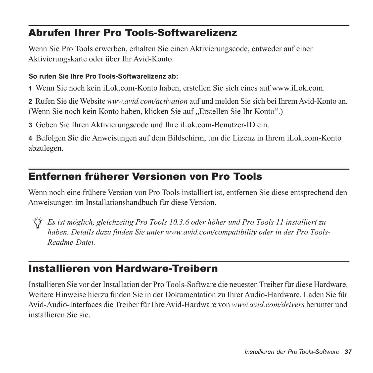## <span id="page-40-0"></span>Abrufen Ihrer Pro Tools-Softwarelizenz

Wenn Sie Pro Tools erwerben, erhalten Sie einen Aktivierungscode, entweder auf einer Aktivierungskarte oder über Ihr Avid-Konto.

#### **So rufen Sie Ihre Pro Tools-Softwarelizenz ab:**

**1** Wenn Sie noch kein iLok.com-Konto haben, erstellen Sie sich eines auf www.iLok.com.

**2** Rufen Sie die Website *www.avid.com/activation* auf und melden Sie sich bei Ihrem Avid-Konto an. (Wenn Sie noch kein Konto haben, klicken Sie auf "Erstellen Sie Ihr Konto".)

**3** Geben Sie Ihren Aktivierungscode und Ihre iLok.com-Benutzer-ID ein.

**4** Befolgen Sie die Anweisungen auf dem Bildschirm, um die Lizenz in Ihrem iLok.com-Konto abzulegen.

## <span id="page-40-1"></span>Entfernen früherer Versionen von Pro Tools

Wenn noch eine frühere Version von Pro Tools installiert ist, entfernen Sie diese entsprechend den Anweisungen im Installationshandbuch für diese Version.



*Es ist möglich, gleichzeitig Pro Tools 10.3.6 oder höher und Pro Tools 11 installiert zu haben. Details dazu finden Sie unter www.avid.com/compatibility oder in der Pro Tools-Readme-Datei.*

## <span id="page-40-2"></span>Installieren von Hardware-Treibern

Installieren Sie vor der Installation der Pro Tools-Software die neuesten Treiber für diese Hardware. Weitere Hinweise hierzu finden Sie in der Dokumentation zu Ihrer Audio-Hardware. Laden Sie für Avid-Audio-Interfaces die Treiber für Ihre Avid-Hardware von *www.avid.com/drivers* herunter und installieren Sie sie.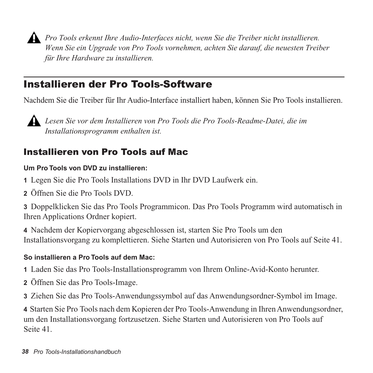*Pro Tools erkennt Ihre Audio-Interfaces nicht, wenn Sie die Treiber nicht installieren. Wenn Sie ein Upgrade von Pro Tools vornehmen, achten Sie darauf, die neuesten Treiber für Ihre Hardware zu installieren.*

## <span id="page-41-0"></span>Installieren der Pro Tools-Software

Nachdem Sie die Treiber für Ihr Audio-Interface installiert haben, können Sie Pro Tools installieren.



*Lesen Sie vor dem Installieren von Pro Tools die Pro Tools-Readme-Datei, die im Installationsprogramm enthalten ist.*

### Installieren von Pro Tools auf Mac

#### **Um Pro Tools von DVD zu installieren:**

**1** Legen Sie die Pro Tools Installations DVD in Ihr DVD Laufwerk ein.

**2** Öffnen Sie die Pro Tools DVD.

**3** Doppelklicken Sie das Pro Tools Programmicon. Das Pro Tools Programm wird automatisch in Ihren Applications Ordner kopiert.

**4** Nachdem der Kopiervorgang abgeschlossen ist, starten Sie Pro Tools um den Installationsvorgang zu komplettieren. Siehe [Starten und Autorisieren von Pro Tools auf Seite 41](#page-44-0).

#### **So installieren a Pro Tools auf dem Mac:**

**1** Laden Sie das Pro Tools-Installationsprogramm von Ihrem Online-Avid-Konto herunter.

- **2** Öffnen Sie das Pro Tools-Image.
- **3** Ziehen Sie das Pro Tools-Anwendungssymbol auf das Anwendungsordner-Symbol im Image.

**4** Starten Sie Pro Tools nach dem Kopieren der Pro Tools-Anwendung in Ihren Anwendungsordner, um den Installationsvorgang fortzusetzen. Siehe [Starten und Autorisieren von Pro Tools auf](#page-44-0) [Seite 41](#page-44-0).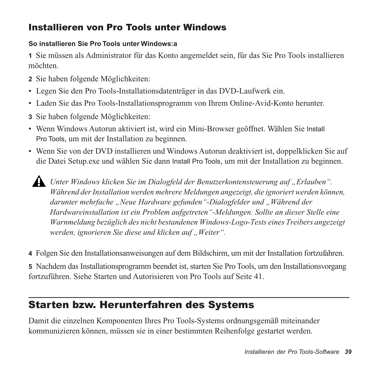### Installieren von Pro Tools unter Windows

#### **So installieren Sie Pro Tools unter Windows:a**

**1** Sie müssen als Administrator für das Konto angemeldet sein, für das Sie Pro Tools installieren möchten.

- **2** Sie haben folgende Möglichkeiten:
- Legen Sie den Pro Tools-Installationsdatenträger in das DVD-Laufwerk ein.
- Laden Sie das Pro Tools-Installationsprogramm von Ihrem Online-Avid-Konto herunter.
- **3** Sie haben folgende Möglichkeiten:
- Wenn Windows Autorun aktiviert ist, wird ein Mini-Browser geöffnet. Wählen Sie Install Pro Tools, um mit der Installation zu beginnen.
- Wenn Sie von der DVD installieren und Windows Autorun deaktiviert ist, doppelklicken Sie auf die Datei Setup.exe und wählen Sie dann Install Pro Tools, um mit der Installation zu beginnen.

*Unter Windows klicken Sie im Dialogfeld der Benutzerkontensteuerung auf "Erlauben". Während der Installation werden mehrere Meldungen angezeigt, die ignoriert werden können, darunter mehrfache "Neue Hardware gefunden"-Dialogfelder und "Während der Hardwareinstallation ist ein Problem aufgetreten"-Meldungen. Sollte an dieser Stelle eine Warnmeldung bezüglich des nicht bestandenen Windows-Logo-Tests eines Treibers angezeigt* werden, ignorieren Sie diese und klicken auf "Weiter".

**4** Folgen Sie den Installationsanweisungen auf dem Bildschirm, um mit der Installation fortzufahren.

**5** Nachdem das Installationsprogramm beendet ist, starten Sie Pro Tools, um den Installationsvorgang fortzuführen. Siehe [Starten und Autorisieren von Pro Tools auf Seite 41.](#page-44-0)

## <span id="page-42-0"></span>Starten bzw. Herunterfahren des Systems

Damit die einzelnen Komponenten Ihres Pro Tools-Systems ordnungsgemäß miteinander kommunizieren können, müssen sie in einer bestimmten Reihenfolge gestartet werden.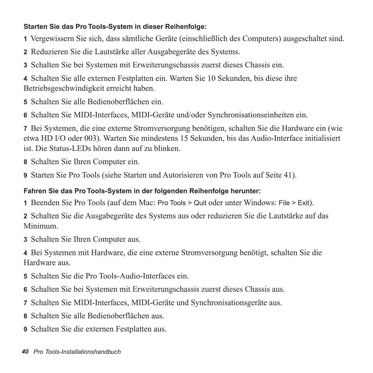#### **Starten Sie das Pro Tools-System in dieser Reihenfolge:**

Vergewissern Sie sich, dass sämtliche Geräte (einschließlich des Computers) ausgeschaltet sind.

Reduzieren Sie die Lautstärke aller Ausgabegeräte des Systems.

Schalten Sie bei Systemen mit Erweiterungschassis zuerst dieses Chassis ein.

 Schalten Sie alle externen Festplatten ein. Warten Sie 10 Sekunden, bis diese ihre Betriebsgeschwindigkeit erreicht haben.

Schalten Sie alle Bedienoberflächen ein.

Schalten Sie MIDI-Interfaces, MIDI-Geräte und/oder Synchronisationseinheiten ein.

 Bei Systemen, die eine externe Stromversorgung benötigen, schalten Sie die Hardware ein (wie etwa HD I/O oder 003). Warten Sie mindestens 15 Sekunden, bis das Audio-Interface initialisiert ist. Die Status-LEDs hören dann auf zu blinken.

Schalten Sie Ihren Computer ein.

Starten Sie Pro Tools (siehe [Starten und Autorisieren von Pro Tools auf Seite 41\)](#page-44-0).

### **Fahren Sie das Pro Tools-System in der folgenden Reihenfolge herunter:**

Beenden Sie Pro Tools (auf dem Mac: Pro Tools > Quit oder unter Windows: File > Exit).

 Schalten Sie die Ausgabegeräte des Systems aus oder reduzieren Sie die Lautstärke auf das Minimum.

Schalten Sie Ihren Computer aus.

 Bei Systemen mit Hardware, die eine externe Stromversorgung benötigt, schalten Sie die Hardware aus.

- Schalten Sie die Pro Tools-Audio-Interfaces ein.
- Schalten Sie bei Systemen mit Erweiterungschassis zuerst dieses Chassis aus.
- Schalten Sie MIDI-Interfaces, MIDI-Geräte und Synchronisationsgeräte aus.
- Schalten Sie alle Bedienoberflächen aus.
- Schalten Sie die externen Festplatten aus.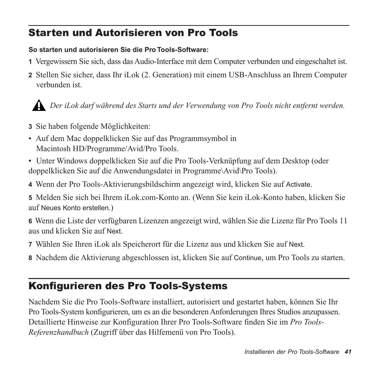## <span id="page-44-0"></span>Starten und Autorisieren von Pro Tools

#### **So starten und autorisieren Sie die Pro Tools-Software:**

- **1** Vergewissern Sie sich, dass das Audio-Interface mit dem Computer verbunden und eingeschaltet ist.
- **2** Stellen Sie sicher, dass Ihr iLok (2. Generation) mit einem USB-Anschluss an Ihrem Computer verbunden ist.



*Der iLok darf während des Starts und der Verwendung von Pro Tools nicht entfernt werden.*

- **3** Sie haben folgende Möglichkeiten:
- Auf dem Mac doppelklicken Sie auf das Programmsymbol in Macintosh HD/Programme/Avid/Pro Tools.
- Unter Windows doppelklicken Sie auf die Pro Tools-Verknüpfung auf dem Desktop (oder doppelklicken Sie auf die Anwendungsdatei in Programme\Avid\Pro Tools).
- **4** Wenn der Pro Tools-Aktivierungsbildschirm angezeigt wird, klicken Sie auf Activate.

**5** Melden Sie sich bei Ihrem iLok.com-Konto an. (Wenn Sie kein iLok-Konto haben, klicken Sie auf Neues Konto erstellen.)

**6** Wenn die Liste der verfügbaren Lizenzen angezeigt wird, wählen Sie die Lizenz für Pro Tools 11 aus und klicken Sie auf Next.

**7** Wählen Sie Ihren iLok als Speicherort für die Lizenz aus und klicken Sie auf Next.

**8** Nachdem die Aktivierung abgeschlossen ist, klicken Sie auf Continue, um Pro Tools zu starten.

## Konfigurieren des Pro Tools-Systems

Nachdem Sie die Pro Tools-Software installiert, autorisiert und gestartet haben, können Sie Ihr Pro Tools-System konfigurieren, um es an die besonderen Anforderungen Ihres Studios anzupassen. Detaillierte Hinweise zur Konfiguration Ihrer Pro Tools-Software finden Sie im *Pro Tools-Referenzhandbuch* (Zugriff über das Hilfemenü von Pro Tools).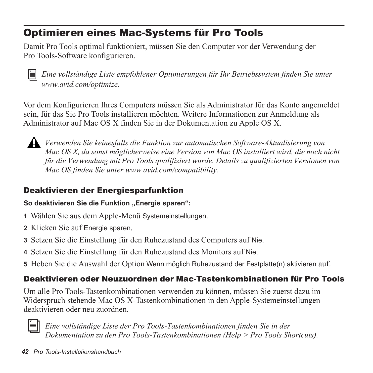## Optimieren eines Mac-Systems für Pro Tools

Damit Pro Tools optimal funktioniert, müssen Sie den Computer vor der Verwendung der Pro Tools-Software konfigurieren.



*Eine vollständige Liste empfohlener Optimierungen für Ihr Betriebssystem finden Sie unter www.avid.com/optimize.*

Vor dem Konfigurieren Ihres Computers müssen Sie als Administrator für das Konto angemeldet sein, für das Sie Pro Tools installieren möchten. Weitere Informationen zur Anmeldung als Administrator auf Mac OS X finden Sie in der Dokumentation zu Apple OS X.



*Verwenden Sie keinesfalls die Funktion zur automatischen Software-Aktualisierung von Mac OS X, da sonst möglicherweise eine Version von Mac OS installiert wird, die noch nicht für die Verwendung mit Pro Tools qualifiziert wurde. Details zu qualifizierten Versionen von Mac OS finden Sie unter www.avid.com/compatibility.*

### Deaktivieren der Energiesparfunktion

#### So deaktivieren Sie die Funktion ..Energie sparen":

- **1** Wählen Sie aus dem Apple-Menü Systemeinstellungen.
- **2** Klicken Sie auf Energie sparen.
- **3** Setzen Sie die Einstellung für den Ruhezustand des Computers auf Nie.
- **4** Setzen Sie die Einstellung für den Ruhezustand des Monitors auf Nie.
- **5** Heben Sie die Auswahl der Option Wenn möglich Ruhezustand der Festplatte(n) aktivieren auf.

### Deaktivieren oder Neuzuordnen der Mac-Tastenkombinationen für Pro Tools

Um alle Pro Tools-Tastenkombinationen verwenden zu können, müssen Sie zuerst dazu im Widerspruch stehende Mac OS X-Tastenkombinationen in den Apple-Systemeinstellungen deaktivieren oder neu zuordnen.



*Eine vollständige Liste der Pro Tools-Tastenkombinationen finden Sie in der Dokumentation zu den Pro Tools-Tastenkombinationen (Help > Pro Tools Shortcuts).*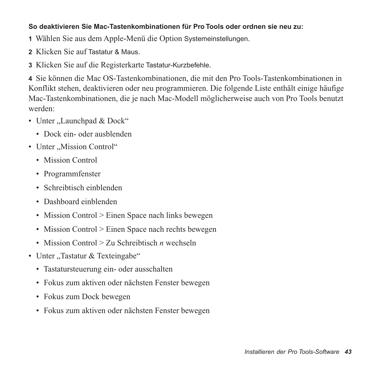#### **So deaktivieren Sie Mac-Tastenkombinationen für Pro Tools oder ordnen sie neu zu:**

- **1** Wählen Sie aus dem Apple-Menü die Option Systemeinstellungen.
- **2** Klicken Sie auf Tastatur & Maus.
- **3** Klicken Sie auf die Registerkarte Tastatur-Kurzbefehle.

**4** Sie können die Mac OS-Tastenkombinationen, die mit den Pro Tools-Tastenkombinationen in Konflikt stehen, deaktivieren oder neu programmieren. Die folgende Liste enthält einige häufige Mac-Tastenkombinationen, die je nach Mac-Modell möglicherweise auch von Pro Tools benutzt werden:

- Unter "Launchpad & Dock"
	- Dock ein- oder ausblenden
- Unter "Mission Control"
	- Mission Control
	- Programmfenster
	- Schreibtisch einblenden
	- Dashboard einblenden
	- Mission Control > Einen Space nach links bewegen
	- Mission Control > Einen Space nach rechts bewegen
	- Mission Control > Zu Schreibtisch *n* wechseln
- Unter "Tastatur & Texteingabe"
	- Tastatursteuerung ein- oder ausschalten
	- Fokus zum aktiven oder nächsten Fenster bewegen
	- Fokus zum Dock bewegen
	- Fokus zum aktiven oder nächsten Fenster bewegen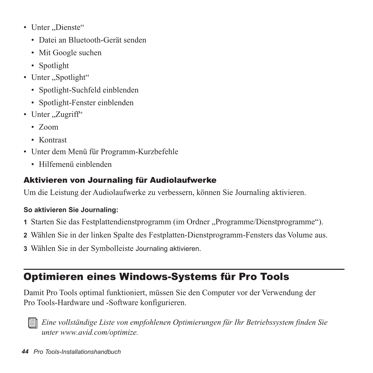- Unter "Dienste"
	- Datei an Bluetooth-Gerät senden
	- Mit Google suchen
	- Spotlight
- Unter "Spotlight"
	- Spotlight-Suchfeld einblenden
	- Spotlight-Fenster einblenden
- Unter ..Zugriff"
	- Zoom
	- Kontrast
- Unter dem Menü für Programm-Kurzbefehle
	- Hilfemenü einblenden

### Aktivieren von Journaling für Audiolaufwerke

Um die Leistung der Audiolaufwerke zu verbessern, können Sie Journaling aktivieren.

#### **So aktivieren Sie Journaling:**

- **1** Starten Sie das Festplattendienstprogramm (im Ordner "Programme/Dienstprogramme").
- **2** Wählen Sie in der linken Spalte des Festplatten-Dienstprogramm-Fensters das Volume aus.
- **3** Wählen Sie in der Symbolleiste Journaling aktivieren.

## Optimieren eines Windows-Systems für Pro Tools

Damit Pro Tools optimal funktioniert, müssen Sie den Computer vor der Verwendung der Pro Tools-Hardware und -Software konfigurieren.



*Eine vollständige Liste von empfohlenen Optimierungen für Ihr Betriebssystem finden Sie unter www.avid.com/optimize.*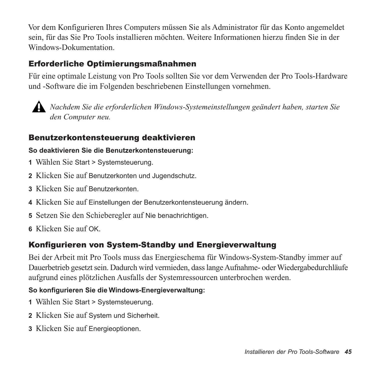Vor dem Konfigurieren Ihres Computers müssen Sie als Administrator für das Konto angemeldet sein, für das Sie Pro Tools installieren möchten. Weitere Informationen hierzu finden Sie in der Windows-Dokumentation.

### Erforderliche Optimierungsmaßnahmen

Für eine optimale Leistung von Pro Tools sollten Sie vor dem Verwenden der Pro Tools-Hardware und -Software die im Folgenden beschriebenen Einstellungen vornehmen.



*Nachdem Sie die erforderlichen Windows-Systemeinstellungen geändert haben, starten Sie den Computer neu.*

### Benutzerkontensteuerung deaktivieren

#### **So deaktivieren Sie die Benutzerkontensteuerung:**

- **1** Wählen Sie Start > Systemsteuerung.
- **2** Klicken Sie auf Benutzerkonten und Jugendschutz.
- **3** Klicken Sie auf Benutzerkonten.
- **4** Klicken Sie auf Einstellungen der Benutzerkontensteuerung ändern.
- **5** Setzen Sie den Schieberegler auf Nie benachrichtigen.
- **6** Klicken Sie auf OK.

### Konfigurieren von System-Standby und Energieverwaltung

Bei der Arbeit mit Pro Tools muss das Energieschema für Windows-System-Standby immer auf Dauerbetrieb gesetzt sein. Dadurch wird vermieden, dass lange Aufnahme- oderWiedergabedurchläufe aufgrund eines plötzlichen Ausfalls der Systemressourcen unterbrochen werden.

#### **So konfigurieren Sie die Windows-Energieverwaltung:**

- **1** Wählen Sie Start > Systemsteuerung.
- **2** Klicken Sie auf System und Sicherheit.
- **3** Klicken Sie auf Energieoptionen.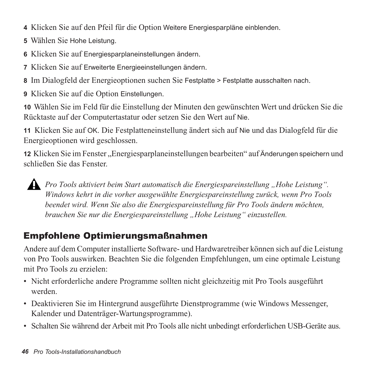- **4** Klicken Sie auf den Pfeil für die Option Weitere Energiesparpläne einblenden.
- **5** Wählen Sie Hohe Leistung.
- **6** Klicken Sie auf Energiesparplaneinstellungen ändern.
- **7** Klicken Sie auf Erweiterte Energieeinstellungen ändern.
- **8** Im Dialogfeld der Energieoptionen suchen Sie Festplatte > Festplatte ausschalten nach.
- **9** Klicken Sie auf die Option Einstellungen.

**10** Wählen Sie im Feld für die Einstellung der Minuten den gewünschten Wert und drücken Sie die Rücktaste auf der Computertastatur oder setzen Sie den Wert auf Nie.

**11** Klicken Sie auf OK. Die Festplatteneinstellung ändert sich auf Nie und das Dialogfeld für die Energieoptionen wird geschlossen.

12 Klicken Sie im Fenster "Energiesparplaneinstellungen bearbeiten" auf Änderungen speichern und schließen Sie das Fenster.



*Pro Tools aktiviert beim Start automatisch die Energiespareinstellung "Hohe Leistung". Windows kehrt in die vorher ausgewählte Energiespareinstellung zurück, wenn Pro Tools beendet wird. Wenn Sie also die Energiespareinstellung für Pro Tools ändern möchten, brauchen Sie nur die Energiespareinstellung "Hohe Leistung" einzustellen.*

## Empfohlene Optimierungsmaßnahmen

Andere auf dem Computer installierte Software- und Hardwaretreiber können sich auf die Leistung von Pro Tools auswirken. Beachten Sie die folgenden Empfehlungen, um eine optimale Leistung mit Pro Tools zu erzielen:

- Nicht erforderliche andere Programme sollten nicht gleichzeitig mit Pro Tools ausgeführt werden.
- Deaktivieren Sie im Hintergrund ausgeführte Dienstprogramme (wie Windows Messenger, Kalender und Datenträger-Wartungsprogramme).
- Schalten Sie während der Arbeit mit Pro Tools alle nicht unbedingt erforderlichen USB-Geräte aus.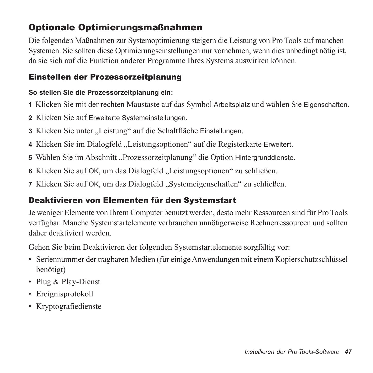### Optionale Optimierungsmaßnahmen

Die folgenden Maßnahmen zur Systemoptimierung steigern die Leistung von Pro Tools auf manchen Systemen. Sie sollten diese Optimierungseinstellungen nur vornehmen, wenn dies unbedingt nötig ist, da sie sich auf die Funktion anderer Programme Ihres Systems auswirken können.

### Einstellen der Prozessorzeitplanung

#### **So stellen Sie die Prozessorzeitplanung ein:**

- **1** Klicken Sie mit der rechten Maustaste auf das Symbol Arbeitsplatz und wählen Sie Eigenschaften.
- **2** Klicken Sie auf Erweiterte Systemeinstellungen.
- **3** Klicken Sie unter "Leistung" auf die Schaltfläche Einstellungen.
- 4 Klicken Sie im Dialogfeld "Leistungsoptionen" auf die Registerkarte Erweitert.
- 5 Wählen Sie im Abschnitt "Prozessorzeitplanung" die Option Hintergrunddienste.
- 6 Klicken Sie auf OK, um das Dialogfeld "Leistungsoptionen" zu schließen.
- **7** Klicken Sie auf OK, um das Dialogfeld "Systemeigenschaften" zu schließen.

### Deaktivieren von Elementen für den Systemstart

Je weniger Elemente von Ihrem Computer benutzt werden, desto mehr Ressourcen sind für Pro Tools verfügbar. Manche Systemstartelemente verbrauchen unnötigerweise Rechnerressourcen und sollten daher deaktiviert werden.

Gehen Sie beim Deaktivieren der folgenden Systemstartelemente sorgfältig vor:

- Seriennummer der tragbaren Medien (für einige Anwendungen mit einem Kopierschutzschlüssel benötigt)
- Plug & Play-Dienst
- Ereignisprotokoll
- Kryptografiedienste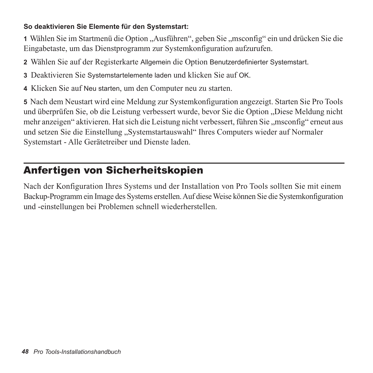#### **So deaktivieren Sie Elemente für den Systemstart:**

1 Wählen Sie im Startmenü die Option "Ausführen", geben Sie "msconfig" ein und drücken Sie die Eingabetaste, um das Dienstprogramm zur Systemkonfiguration aufzurufen.

**2** Wählen Sie auf der Registerkarte Allgemein die Option Benutzerdefinierter Systemstart.

**3** Deaktivieren Sie Systemstartelemente laden und klicken Sie auf OK.

**4** Klicken Sie auf Neu starten, um den Computer neu zu starten.

**5** Nach dem Neustart wird eine Meldung zur Systemkonfiguration angezeigt. Starten Sie Pro Tools und überprüfen Sie, ob die Leistung verbessert wurde, bevor Sie die Option "Diese Meldung nicht mehr anzeigen" aktivieren. Hat sich die Leistung nicht verbessert, führen Sie "msconfig" erneut aus und setzen Sie die Einstellung "Systemstartauswahl" Ihres Computers wieder auf Normaler Systemstart - Alle Gerätetreiber und Dienste laden.

## Anfertigen von Sicherheitskopien

Nach der Konfiguration Ihres Systems und der Installation von Pro Tools sollten Sie mit einem Backup-Programm ein Image des Systems erstellen.Auf dieseWeise können Sie die Systemkonfiguration und -einstellungen bei Problemen schnell wiederherstellen.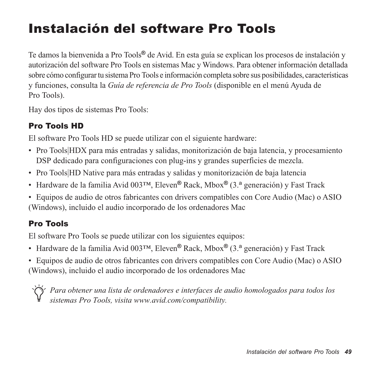# Instalación del software Pro Tools

Te damos la bienvenida a Pro Tools**®** de Avid. En esta guía se explican los procesos de instalación y autorización del software Pro Tools en sistemas Mac y Windows. Para obtener información detallada sobre cómo configurar tu sistema Pro Tools e información completa sobre sus posibilidades, características y funciones, consulta la *Guía de referencia de Pro Tools* (disponible en el menú Ayuda de Pro Tools).

Hay dos tipos de sistemas Pro Tools:

### Pro Tools HD

El software Pro Tools HD se puede utilizar con el siguiente hardware:

- Pro Tools|HDX para más entradas y salidas, monitorización de baja latencia, y procesamiento DSP dedicado para configuraciones con plug-ins y grandes superficies de mezcla.
- Pro Tools|HD Native para más entradas y salidas y monitorización de baja latencia
- Hardware de la familia Avid 003™, Eleven**®** Rack, Mbox**®** (3.<sup>a</sup> generación) y Fast Track
- Equipos de audio de otros fabricantes con drivers compatibles con Core Audio (Mac) o ASIO (Windows), incluido el audio incorporado de los ordenadores Mac

### Pro Tools

El software Pro Tools se puede utilizar con los siguientes equipos:

- Hardware de la familia Avid 003™, Eleven**®** Rack, Mbox**®** (3.<sup>a</sup> generación) y Fast Track
- Equipos de audio de otros fabricantes con drivers compatibles con Core Audio (Mac) o ASIO (Windows), incluido el audio incorporado de los ordenadores Mac

*Para obtener una lista de ordenadores e interfaces de audio homologados para todos los sistemas Pro Tools, visita www.avid.com/compatibility.*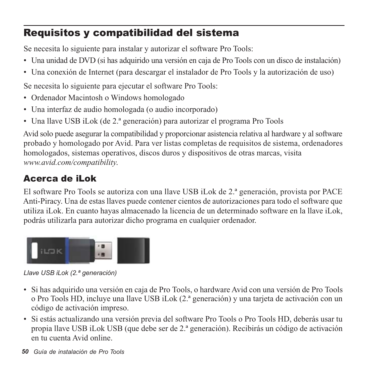## Requisitos y compatibilidad del sistema

Se necesita lo siguiente para instalar y autorizar el software Pro Tools:

- Una unidad de DVD (si has adquirido una versión en caja de Pro Tools con un disco de instalación)
- Una conexión de Internet (para descargar el instalador de Pro Tools y la autorización de uso)

Se necesita lo siguiente para ejecutar el software Pro Tools:

- Ordenador Macintosh o Windows homologado
- Una interfaz de audio homologada (o audio incorporado)
- Una llave USB iLok (de 2.ª generación) para autorizar el programa Pro Tools

Avid solo puede asegurar la compatibilidad y proporcionar asistencia relativa al hardware y al software probado y homologado por Avid. Para ver listas completas de requisitos de sistema, ordenadores homologados, sistemas operativos, discos duros y dispositivos de otras marcas, visita *www.avid.com/compatibility*.

## Acerca de iLok

El software Pro Tools se autoriza con una llave USB iLok de 2.ª generación, provista por PACE Anti-Piracy. Una de estas llaves puede contener cientos de autorizaciones para todo el software que utiliza iLok. En cuanto hayas almacenado la licencia de un determinado software en la llave iLok, podrás utilizarla para autorizar dicho programa en cualquier ordenador.



*Llave USB iLok (2.ª generación)*

- Si has adquirido una versión en caja de Pro Tools, o hardware Avid con una versión de Pro Tools o Pro Tools HD, incluye una llave USB iLok (2.ª generación) y una tarjeta de activación con un código de activación impreso.
- Si estás actualizando una versión previa del software Pro Tools o Pro Tools HD, deberás usar tu propia llave USB iLok USB (que debe ser de 2.ª generación). Recibirás un código de activación en tu cuenta Avid online.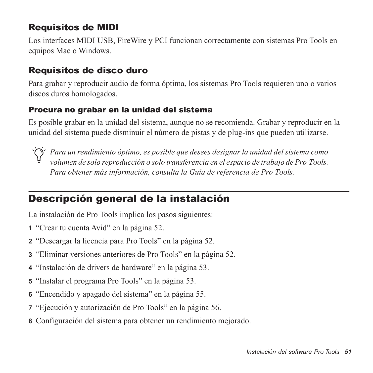### Requisitos de MIDI

Los interfaces MIDI USB, FireWire y PCI funcionan correctamente con sistemas Pro Tools en equipos Mac o Windows.

### Requisitos de disco duro

Para grabar y reproducir audio de forma óptima, los sistemas Pro Tools requieren uno o varios discos duros homologados.

### Procura no grabar en la unidad del sistema

Es posible grabar en la unidad del sistema, aunque no se recomienda. Grabar y reproducir en la unidad del sistema puede disminuir el número de pistas y de plug-ins que pueden utilizarse.

*Para un rendimiento óptimo, es posible que desees designar la unidad del sistema como volumen de solo reproducción o solo transferencia en el espacio de trabajo de Pro Tools. Para obtener más información, consulta la Guía de referencia de Pro Tools.*

## Descripción general de la instalación

La instalación de Pro Tools implica los pasos siguientes:

- **1** ["Crear tu cuenta Avid" en la página 52.](#page-55-0)
- **2** ["Descargar la licencia para Pro Tools" en la página 52](#page-55-1).
- **3** ["Eliminar versiones anteriores de Pro Tools" en la página 52.](#page-55-2)
- **4** ["Instalación de drivers de hardware" en la página 53.](#page-56-0)
- **5** ["Instalar el programa Pro Tools" en la página 53.](#page-56-1)
- **6** ["Encendido y apagado del sistema" en la página 55.](#page-58-0)
- **7** ["Ejecución y autorización de Pro Tools" en la página 56](#page-59-0).
- **8** Configuración del sistema para obtener un rendimiento mejorado.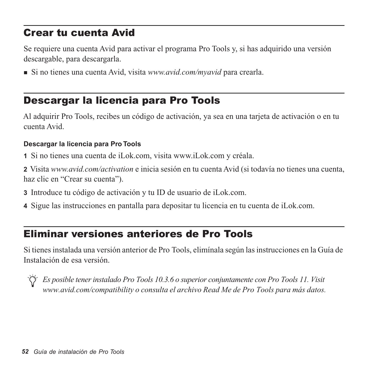## <span id="page-55-0"></span>Crear tu cuenta Avid

Se requiere una cuenta Avid para activar el programa Pro Tools y, si has adquirido una versión descargable, para descargarla.

Si no tienes una cuenta Avid, visita *www.avid.com/myavid* para crearla.

## <span id="page-55-1"></span>Descargar la licencia para Pro Tools

Al adquirir Pro Tools, recibes un código de activación, ya sea en una tarjeta de activación o en tu cuenta Avid.

#### **Descargar la licencia para Pro Tools**

**1** Si no tienes una cuenta de iLok.com, visita www.iLok.com y créala.

**2** Visita *www.avid.com/activation* e inicia sesión en tu cuenta Avid (si todavía no tienes una cuenta, haz clic en "Crear su cuenta").

- **3** Introduce tu código de activación y tu ID de usuario de iLok.com.
- **4** Sigue las instrucciones en pantalla para depositar tu licencia en tu cuenta de iLok.com.

## <span id="page-55-2"></span>Eliminar versiones anteriores de Pro Tools

Si tienes instalada una versión anterior de Pro Tools, elimínala según las instrucciones en la Guía de Instalación de esa versión.



*Es posible tener instalado Pro Tools 10.3.6 o superior conjuntamente con Pro Tools 11. Visit www.avid.com/compatibility o consulta el archivo Read Me de Pro Tools para más datos.*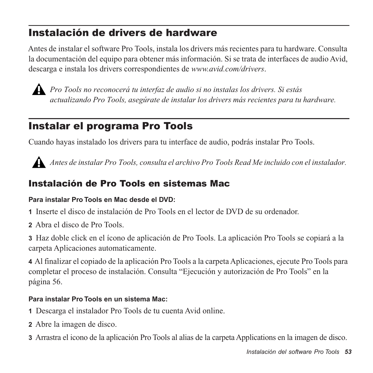## <span id="page-56-0"></span>Instalación de drivers de hardware

Antes de instalar el software Pro Tools, instala los drivers más recientes para tu hardware. Consulta la documentación del equipo para obtener más información. Si se trata de interfaces de audio Avid, descarga e instala los drivers correspondientes de *www.avid.com/drivers*.



*Pro Tools no reconocerá tu interfaz de audio si no instalas los drivers. Si estás actualizando Pro Tools, asegúrate de instalar los drivers más recientes para tu hardware.*

## <span id="page-56-1"></span>Instalar el programa Pro Tools

Cuando hayas instalado los drivers para tu interface de audio, podrás instalar Pro Tools.

*Antes de instalar Pro Tools, consulta el archivo Pro Tools Read Me incluido con el instalador.*

## Instalación de Pro Tools en sistemas Mac

#### **Para instalar Pro Tools en Mac desde el DVD:**

**1** Inserte el disco de instalación de Pro Tools en el lector de DVD de su ordenador.

**2** Abra el disco de Pro Tools.

**3** Haz doble click en el ícono de aplicación de Pro Tools. La aplicación Pro Tools se copiará a la carpeta Aplicaciones automaticamente.

**4** Al finalizar el copiado de la aplicación Pro Tools a la carpeta Aplicaciones, ejecute Pro Tools para completar el proceso de instalación. Consulta ["Ejecución y autorización de Pro Tools" en la](#page-59-0) [página 56.](#page-59-0)

#### **Para instalar Pro Tools en un sistema Mac:**

- **1** Descarga el instalador Pro Tools de tu cuenta Avid online.
- **2** Abre la imagen de disco.
- **3** Arrastra el icono de la aplicación Pro Tools al alias de la carpeta Applications en la imagen de disco.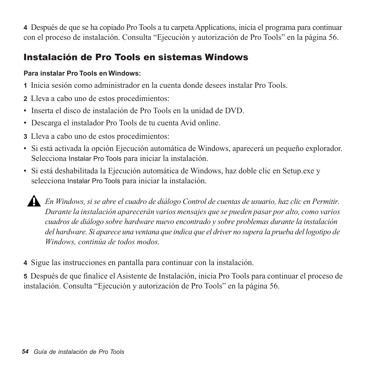**4** Después de que se ha copiado Pro Tools a tu carpeta Applications, inicia el programa para continuar con el proceso de instalación. Consulta ["Ejecución y autorización de Pro Tools" en la página 56.](#page-59-0)

### Instalación de Pro Tools en sistemas Windows

#### **Para instalar Pro Tools en Windows:**

- **1** Inicia sesión como administrador en la cuenta donde desees instalar Pro Tools.
- **2** Lleva a cabo uno de estos procedimientos:
- Inserta el disco de instalación de Pro Tools en la unidad de DVD.
- Descarga el instalador Pro Tools de tu cuenta Avid online.
- **3** Lleva a cabo uno de estos procedimientos:
- Si está activada la opción Ejecución automática de Windows, aparecerá un pequeño explorador. Selecciona Instalar Pro Tools para iniciar la instalación.
- Si está deshabilitada la Ejecución automática de Windows, haz doble clic en Setup.exe y selecciona Instalar Pro Tools para iniciar la instalación.



*En Windows, si se abre el cuadro de diálogo Control de cuentas de usuario, haz clic en Permitir. Durante la instalación aparecerán varios mensajes que se pueden pasar por alto, como varios cuadros de diálogo sobre hardware nuevo encontrado y sobre problemas durante la instalación del hardware. Si aparece una ventana que indica que el driver no supera la prueba del logotipo de Windows, continúa de todos modos.*

**4** Sigue las instrucciones en pantalla para continuar con la instalación.

**5** Después de que finalice el Asistente de Instalación, inicia Pro Tools para continuar el proceso de instalación. Consulta ["Ejecución y autorización de Pro Tools" en la página 56](#page-59-0).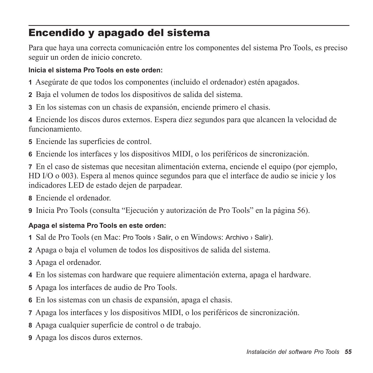## <span id="page-58-0"></span>Encendido y apagado del sistema

Para que haya una correcta comunicación entre los componentes del sistema Pro Tools, es preciso seguir un orden de inicio concreto.

#### **Inicia el sistema Pro Tools en este orden:**

- Asegúrate de que todos los componentes (incluido el ordenador) estén apagados.
- Baja el volumen de todos los dispositivos de salida del sistema.
- En los sistemas con un chasis de expansión, enciende primero el chasis.
- Enciende los discos duros externos. Espera diez segundos para que alcancen la velocidad de funcionamiento.
- Enciende las superficies de control.
- Enciende los interfaces y los dispositivos MIDI, o los periféricos de sincronización.

 En el caso de sistemas que necesitan alimentación externa, enciende el equipo (por ejemplo, HD I/O o 003). Espera al menos quince segundos para que el interface de audio se inicie y los indicadores LED de estado dejen de parpadear.

- Enciende el ordenador.
- Inicia Pro Tools (consulta ["Ejecución y autorización de Pro Tools" en la página 56](#page-59-0)).

#### **Apaga el sistema Pro Tools en este orden:**

- Sal de Pro Tools (en Mac: Pro Tools › Salir, o en Windows: Archivo › Salir).
- Apaga o baja el volumen de todos los dispositivos de salida del sistema.
- Apaga el ordenador.
- En los sistemas con hardware que requiere alimentación externa, apaga el hardware.
- Apaga los interfaces de audio de Pro Tools.
- En los sistemas con un chasis de expansión, apaga el chasis.
- Apaga los interfaces y los dispositivos MIDI, o los periféricos de sincronización.
- Apaga cualquier superficie de control o de trabajo.
- Apaga los discos duros externos.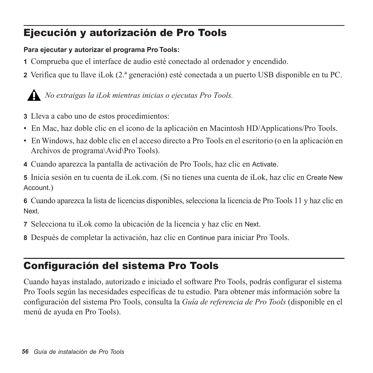## <span id="page-59-0"></span>Ejecución y autorización de Pro Tools

#### **Para ejecutar y autorizar el programa Pro Tools:**

- **1** Comprueba que el interface de audio esté conectado al ordenador y encendido.
- **2** Verifica que tu llave iLok (2.ª generación) esté conectada a un puerto USB disponible en tu PC.



*No extraigas la iLok mientras inicias o ejecutas Pro Tools.*

- **3** Lleva a cabo uno de estos procedimientos:
- En Mac, haz doble clic en el icono de la aplicación en Macintosh HD/Applications/Pro Tools.
- En Windows, haz doble clic en el acceso directo a Pro Tools en el escritorio (o en la aplicación en Archivos de programa\Avid\Pro Tools).
- **4** Cuando aparezca la pantalla de activación de Pro Tools, haz clic en Activate.

**5** Inicia sesión en tu cuenta de iLok.com. (Si no tienes una cuenta de iLok, haz clic en Create New Account.)

**6** Cuando aparezca la lista de licencias disponibles, selecciona la licencia de Pro Tools 11 y haz clic en Next.

**7** Selecciona tu iLok como la ubicación de la licencia y haz clic en Next.

**8** Después de completar la activación, haz clic en Continue para iniciar Pro Tools.

## Configuración del sistema Pro Tools

Cuando hayas instalado, autorizado e iniciado el software Pro Tools, podrás configurar el sistema Pro Tools según las necesidades específicas de tu estudio. Para obtener más información sobre la configuración del sistema Pro Tools, consulta la *Guía de referencia de Pro Tools* (disponible en el menú de ayuda en Pro Tools).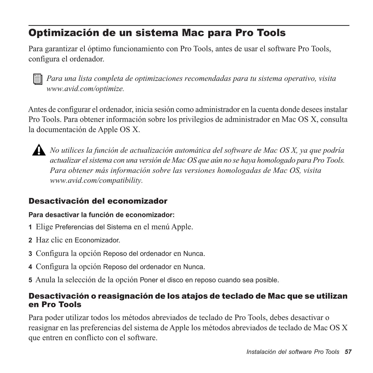## Optimización de un sistema Mac para Pro Tools

Para garantizar el óptimo funcionamiento con Pro Tools, antes de usar el software Pro Tools, configura el ordenador.



*Para una lista completa de optimizaciones recomendadas para tu sistema operativo, visita www.avid.com/optimize.*

Antes de configurar el ordenador, inicia sesión como administrador en la cuenta donde desees instalar Pro Tools. Para obtener información sobre los privilegios de administrador en Mac OS X, consulta la documentación de Apple OS X.



*No utilices la función de actualización automática del software de Mac OS X, ya que podría actualizar el sistema con una versión de Mac OS que aún no se haya homologado para Pro Tools. Para obtener más información sobre las versiones homologadas de Mac OS, visita www.avid.com/compatibility.*

### Desactivación del economizador

#### **Para desactivar la función de economizador:**

- **1** Elige Preferencias del Sistema en el menú Apple.
- **2** Haz clic en Economizador.
- **3** Configura la opción Reposo del ordenador en Nunca.
- **4** Configura la opción Reposo del ordenador en Nunca.
- **5** Anula la selección de la opción Poner el disco en reposo cuando sea posible.

### Desactivación o reasignación de los atajos de teclado de Mac que se utilizan en Pro Tools

Para poder utilizar todos los métodos abreviados de teclado de Pro Tools, debes desactivar o reasignar en las preferencias del sistema de Apple los métodos abreviados de teclado de Mac OS X que entren en conflicto con el software.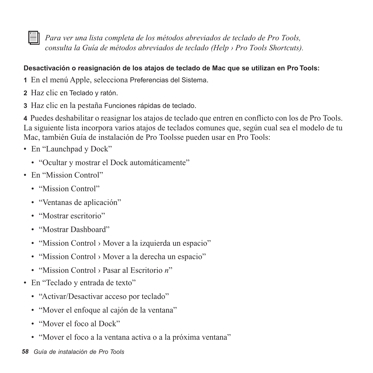*Para ver una lista completa de los métodos abreviados de teclado de Pro Tools, consulta la Guía de métodos abreviados de teclado (Help › Pro Tools Shortcuts).*

#### **Desactivación o reasignación de los atajos de teclado de Mac que se utilizan en Pro Tools:**

- **1** En el menú Apple, selecciona Preferencias del Sistema.
- **2** Haz clic en Teclado y ratón.
- **3** Haz clic en la pestaña Funciones rápidas de teclado.

**4** Puedes deshabilitar o reasignar los atajos de teclado que entren en conflicto con los de Pro Tools. La siguiente lista incorpora varios atajos de teclados comunes que, según cual sea el modelo de tu Mac, también Guía de instalación de Pro Toolsse pueden usar en Pro Tools:

- En "Launchpad y Dock"
	- "Ocultar y mostrar el Dock automáticamente"
- En "Mission Control"
	- "Mission Control"
	- "Ventanas de aplicación"
	- "Mostrar escritorio"
	- "Mostrar Dashboard"
	- "Mission Control › Mover a la izquierda un espacio"
	- "Mission Control › Mover a la derecha un espacio"
	- "Mission Control › Pasar al Escritorio *n*"
- En "Teclado y entrada de texto"
	- "Activar/Desactivar acceso por teclado"
	- "Mover el enfoque al cajón de la ventana"
	- "Mover el foco al Dock"
	- "Mover el foco a la ventana activa o a la próxima ventana"
- *58 Guía de instalación de Pro Tools*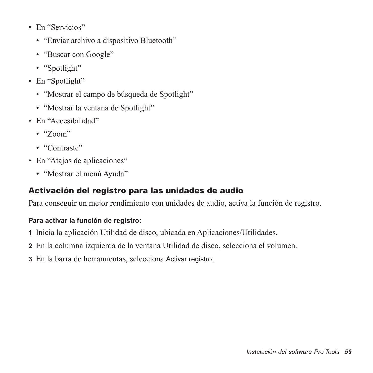- En "Servicios"
	- "Enviar archivo a dispositivo Bluetooth"
	- "Buscar con Google"
	- "Spotlight"
- En "Spotlight"
	- "Mostrar el campo de búsqueda de Spotlight"
	- "Mostrar la ventana de Spotlight"
- En "Accesibilidad"
	- "Zoom"
	- "Contraste"
- En "Atajos de aplicaciones"
	- "Mostrar el menú Ayuda"

### Activación del registro para las unidades de audio

Para conseguir un mejor rendimiento con unidades de audio, activa la función de registro.

#### **Para activar la función de registro:**

- **1** Inicia la aplicación Utilidad de disco, ubicada en Aplicaciones/Utilidades.
- **2** En la columna izquierda de la ventana Utilidad de disco, selecciona el volumen.
- **3** En la barra de herramientas, selecciona Activar registro.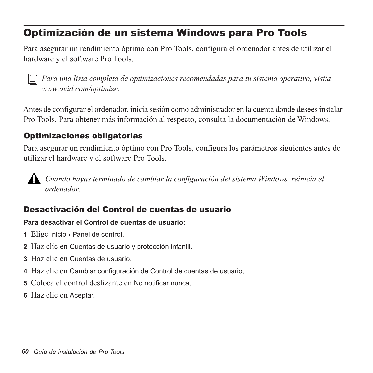## Optimización de un sistema Windows para Pro Tools

Para asegurar un rendimiento óptimo con Pro Tools, configura el ordenador antes de utilizar el hardware y el software Pro Tools.



*Para una lista completa de optimizaciones recomendadas para tu sistema operativo, visita www.avid.com/optimize.*

Antes de configurar el ordenador, inicia sesión como administrador en la cuenta donde desees instalar Pro Tools. Para obtener más información al respecto, consulta la documentación de Windows.

### Optimizaciones obligatorias

Para asegurar un rendimiento óptimo con Pro Tools, configura los parámetros siguientes antes de utilizar el hardware y el software Pro Tools.



*Cuando hayas terminado de cambiar la configuración del sistema Windows, reinicia el ordenador.*

### Desactivación del Control de cuentas de usuario

#### **Para desactivar el Control de cuentas de usuario:**

- **1** Elige Inicio › Panel de control.
- **2** Haz clic en Cuentas de usuario y protección infantil.
- **3** Haz clic en Cuentas de usuario.
- **4** Haz clic en Cambiar configuración de Control de cuentas de usuario.
- **5** Coloca el control deslizante en No notificar nunca.
- **6** Haz clic en Aceptar.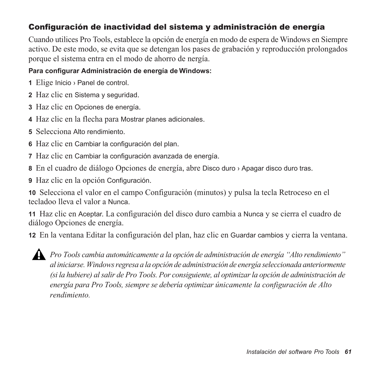### Configuración de inactividad del sistema y administración de energía

Cuando utilices Pro Tools, establece la opción de energía en modo de espera de Windows en Siempre activo. De este modo, se evita que se detengan los pases de grabación y reproducción prolongados porque el sistema entra en el modo de ahorro de nergía.

#### **Para configurar Administración de energía de Windows:**

- **1** Elige Inicio › Panel de control.
- **2** Haz clic en Sistema y seguridad.
- **3** Haz clic en Opciones de energía.
- **4** Haz clic en la flecha para Mostrar planes adicionales.
- **5** Selecciona Alto rendimiento.
- **6** Haz clic en Cambiar la configuración del plan.
- **7** Haz clic en Cambiar la configuración avanzada de energía.
- **8** En el cuadro de diálogo Opciones de energía, abre Disco duro › Apagar disco duro tras.
- **9** Haz clic en la opción Configuración.

**10** Selecciona el valor en el campo Configuración (minutos) y pulsa la tecla Retroceso en el tecladoo lleva el valor a Nunca.

**11** Haz clic en Aceptar. La configuración del disco duro cambia a Nunca y se cierra el cuadro de diálogo Opciones de energía.

**12** En la ventana Editar la configuración del plan, haz clic en Guardar cambios y cierra la ventana.



*Pro Tools cambia automáticamente a la opción de administración de energía "Alto rendimiento" al iniciarse. Windows regresa a la opción de administración de energía seleccionada anteriormente (si la hubiere) al salir de Pro Tools. Por consiguiente, al optimizar la opción de administración de energía para Pro Tools, siempre se debería optimizar únicamente la configuración de Alto rendimiento.*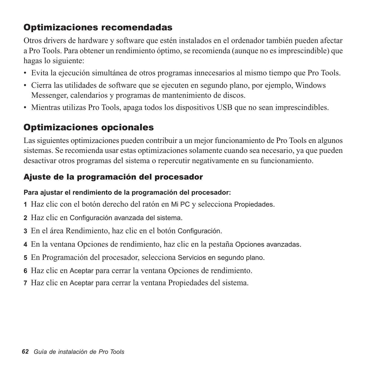### Optimizaciones recomendadas

Otros drivers de hardware y software que estén instalados en el ordenador también pueden afectar a Pro Tools. Para obtener un rendimiento óptimo, se recomienda (aunque no es imprescindible) que hagas lo siguiente:

- Evita la ejecución simultánea de otros programas innecesarios al mismo tiempo que Pro Tools.
- Cierra las utilidades de software que se ejecuten en segundo plano, por ejemplo, Windows Messenger, calendarios y programas de mantenimiento de discos.
- Mientras utilizas Pro Tools, apaga todos los dispositivos USB que no sean imprescindibles.

## Optimizaciones opcionales

Las siguientes optimizaciones pueden contribuir a un mejor funcionamiento de Pro Tools en algunos sistemas. Se recomienda usar estas optimizaciones solamente cuando sea necesario, ya que pueden desactivar otros programas del sistema o repercutir negativamente en su funcionamiento.

### Ajuste de la programación del procesador

#### **Para ajustar el rendimiento de la programación del procesador:**

- **1** Haz clic con el botón derecho del ratón en Mi PC y selecciona Propiedades.
- **2** Haz clic en Configuración avanzada del sistema.
- **3** En el área Rendimiento, haz clic en el botón Configuración.
- **4** En la ventana Opciones de rendimiento, haz clic en la pestaña Opciones avanzadas.
- **5** En Programación del procesador, selecciona Servicios en segundo plano.
- **6** Haz clic en Aceptar para cerrar la ventana Opciones de rendimiento.
- **7** Haz clic en Aceptar para cerrar la ventana Propiedades del sistema.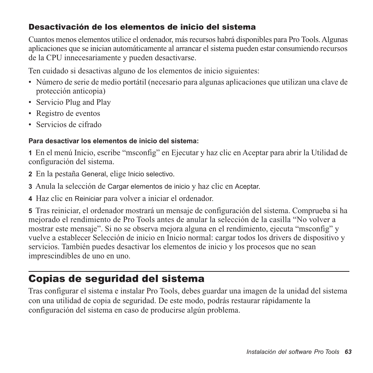### Desactivación de los elementos de inicio del sistema

Cuantos menos elementos utilice el ordenador, más recursos habrá disponibles para Pro Tools. Algunas aplicaciones que se inician automáticamente al arrancar el sistema pueden estar consumiendo recursos de la CPU innecesariamente y pueden desactivarse.

Ten cuidado si desactivas alguno de los elementos de inicio siguientes:

- Número de serie de medio portátil (necesario para algunas aplicaciones que utilizan una clave de protección anticopia)
- Servicio Plug and Play
- Registro de eventos
- Servicios de cifrado

#### **Para desactivar los elementos de inicio del sistema:**

**1** En el menú Inicio, escribe "msconfig" en Ejecutar y haz clic en Aceptar para abrir la Utilidad de configuración del sistema.

- **2** En la pestaña General, elige Inicio selectivo.
- **3** Anula la selección de Cargar elementos de inicio y haz clic en Aceptar.
- **4** Haz clic en Reiniciar para volver a iniciar el ordenador.

**5** Tras reiniciar, el ordenador mostrará un mensaje de configuración del sistema. Comprueba si ha mejorado el rendimiento de Pro Tools antes de anular la selección de la casilla "No volver a mostrar este mensaje". Si no se observa mejora alguna en el rendimiento, ejecuta "msconfig" y vuelve a establecer Selección de inicio en Inicio normal: cargar todos los drivers de dispositivo y servicios. También puedes desactivar los elementos de inicio y los procesos que no sean imprescindibles de uno en uno.

## Copias de seguridad del sistema

Tras configurar el sistema e instalar Pro Tools, debes guardar una imagen de la unidad del sistema con una utilidad de copia de seguridad. De este modo, podrás restaurar rápidamente la configuración del sistema en caso de producirse algún problema.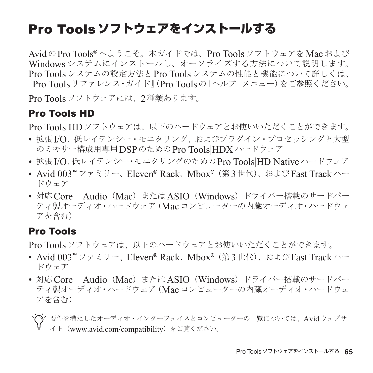# Pro Tools ソフトウェアをインストールする

Avid の Pro Tools® へようこそ。本ガイドでは、Pro Tools ソフトウェアをMac および Windows システムにインストールし、オーソライズする方法について説明します。 Pro Tools システムの設定方法と Pro Tools システムの性能と機能について詳しくは、 『Pro Tools リファレンス・ガイド』 (Pro Toolsの「ヘルプ] メニュー) をご参照ください。 Pro Tools ソフトウェアには、2種類あります。

### Pro Tools HD

Pro Tools HD ソフトウェアは、以下のハードウェアとお使いいただくことができます。

- 拡張I/O、低レイテンシー・モニタリング、およびプラグイン・プロセッシングと大型 のミキサー構成用専用DSPのためのPro Tools|HDXハードウェア
- 拡張I/O、低レイテンシー・モニタリングのための Pro Tools HD Native ハードウェア
- Avid 003™ファミリー、Eleven® Rack、Mbox®(第3世代)、および Fast Track ハー ドウェア
- 対応 Core Audio (Mac) または ASIO (Windows) ドライバー搭載のサードパー ティ製オーディオ·ハードウェア (Mac コンピューターの内蔵オーディオ·ハードウェ アを含む

### Pro Tools

Pro Tools ソフトウェアは、以下のハードウェアとお使いいただくことができます。

- Avid 003™ファミリー、Eleven® Rack、Mbox®(第3世代)、および Fast Track ハー ドウェア
- 対応 Core Audio (Mac) または ASIO (Windows) ドライバー搭載のサードパー ティ製オーディオ·ハードウェア (Mac コンピューターの内蔵オーディオ·ハードウェ アを含む

としたオーディオ・インターフェイスとコンピューターの一覧については、Avidウェブサ イト (www.avid.com/compatibility) をご覧ください。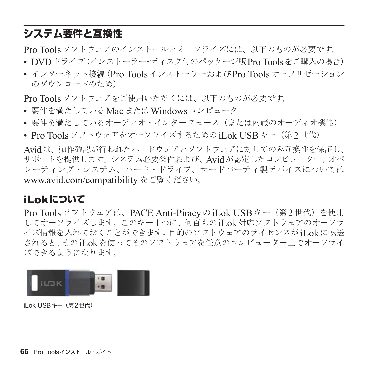## システム要件と互換性

Pro Tools ソフトウェアのインストールとオーソライズには、以下のものが必要です。

- DVDドライブ (インストーラー・ディスク付のパッケージ版 Pro Tools をご購入の場合)
- インターネット接続 (Pro Toolsインストーラーおよび Pro Tools オーソリゼーション のダウンロードのため)

Pro Tools ソフトウェアをご使用いただくには、以下のものが必要です。

- 要件を満たしているMacまたはWindows コンピュータ
- 要件を満たしているオーディオ・インターフェース (または内蔵のオーディオ機能)
- Pro Tools ソフトウェアをオーソライズするためのiLok USBキー(第2世代)

Avidは、動作確認が行われたハードウェアとソフトウェアに対してのみ互換性を保証し、 サポートを提供します。システム必要条件および、Avidが認定したコンピューター、オペ レーティング・システム、ハード・ドライブ、サードパーティ製デバイスについては www.avid.com/compatibility をご覧ください。

### iLokについて

Pro Tools ソフトウェアは、PACE Anti-Piracy のiLok USB キー (第2世代) を使用 してオーソライズします。このキー1つに、何百ものiLok対応ソフトウェアのオーソラ イズ情報を入れておくことができます。目的のソフトウェアのライセンスがiLokに転送 されると、そのiLokを使ってそのソフトウェアを任意のコンピューター上でオーソライ ズできろようになります.



iLok USBキー(第2世代)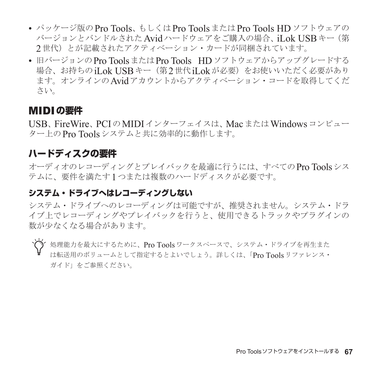- パッケージ版の Pro Tools、もしくは Pro Tools または Pro Tools HD ソフトウェアの バージョンとバンドルされた Avidハードウェアをご購入の場合、iLok USBキー(第 2世代)とが記載されたアクティベーション·カードが同梱されています。
- 旧バージョンのPro Tools またはPro Tools HD ソフトウェアからアップグレードする 場合、お持ちのiLok USBキー(第2世代iLokが必要)をお使いいただく必要があり ます。オンラインのAvidアカウントからアクティベーション・コードを取得してくだ さい。

### MIDIの要件

USB、FireWire、PCIのMIDIインターフェイスは、Mac または Windows コンピュー ター上のPro Tools システムと共に効率的に動作します。

### ハードディスクの要件

オーディオのレコーディングとプレイバックを最適に行うには、すべてのPro Tools シス テムに、要件を満たす1つまたは複数のハードディスクが必要です。

#### システム・ドライブへはレコーディングしない

システム・ドライブへのレコーディングは可能ですが、推奨されません。システム・ドラ イブ上でレコーディングやプレイバックを行うと、使用できるトラックやプラグインの 数が少なくなる場合があります。

処理能力を最大にするために、Pro Tools ワークスペースで、システム・ドライブを再生また は転送用のボリュームとして指定するとよいでしょう。詳しくは、「Pro Tools リファレンス· ガイド」をご参照ください。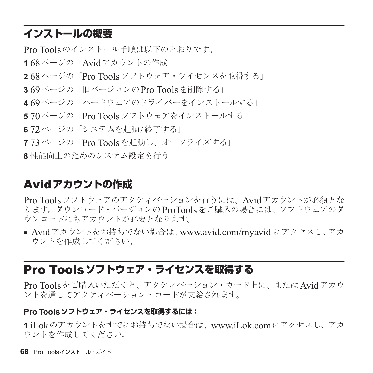## インストールの概要

Pro Toolsのインストール手順は以下のとおりです。

- 168ページの「Avidアカウントの作成」
- $268$ ページの「Pro Tools ソフトウェア・ライセンスを取得する」
- 369ページの「旧バージョンのPro Tools を削除する」
- **4 69 ページの「ハードウェアのドライバーをインストールする」**
- 570ページの「Pro Tools ソフトウェアをインストールする」
- 672ページの「システムを起動/終了する」
- **773ページの「Pro Tools を起動し、オーソライズする」**

8 性能向上のためのシステム設定を行う

### <span id="page-71-0"></span>Avidアカウントの作成

Pro Tools ソフトウェアのアクティベーションを行うには、Avidアカウントが必須とな ります。ダウンロード·バージョンのProToolsをご購入の場合には、ソフトウェアのダ ウンロードにもアカウントが必要となります。

■ Avidアカウントをお持ちでない場合は、www.avid.com/myavid にアクセスし、アカ ウントを作成してください。

## <span id="page-71-1"></span>Pro Toolsソフトウェア・ライセンスを取得する

Pro Tools をご購入いただくと、アクティベーション・カード上に、または Avid アカウ ントを通してアクティベーション・コードが支給されます。

#### **Pro Toolsソフトウェア・ライセンスを取得するには:**

1 iLokのアカウントをすでにお持ちでない場合は、www.iLok.comにアクセスし、アカ ウントを作成してください。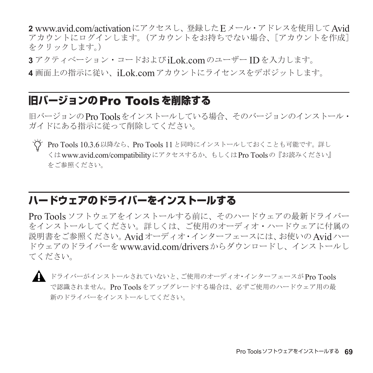2 www.avid.com/activationにアクセスし、登録したEメール·アドレスを使用してAvid アカウントにログインします。(アカウントをお持ちでない場合、「アカウントを作成] をクリックします。)

3 アクティベーション·コードおよびiLok.comのユーザー ID を入力します。

4 画面上の指示に従い、iLok.comアカウントにライセンスをデポジットします。

# 旧バージョンのPro Toolsを削除する

旧バージョンのPro Toolsをインストールしている場合、そのバージョンのインストール· ガイドにある指示に従って削除してください。

 $\gamma$ 

Pro Tools 10.3.6以降なら、Pro Tools 11と同時にインストールしておくことも可能です。詳し くはwww.avid.com/compatibilityにアクセスするか、もしくはPro Toolsの『お読みください』 をご参照ください。

# ハードウェアのドライバーをインストールする

Pro Tools ソフトウェアをインストールする前に、そのハードウェアの最新ドライバー をインストールしてください。詳しくは、ご使用のオーディオ・ハードウェアに付属の 説明書をご参照ください。Avid オーディオ・インターフェースには、お使いの Avid ハー ドウェアのドライバーをwww.avid.com/drivers からダウンロードし、インストールし てください。



▲ ドライバーがインストールされていないと、ご使用のオーディオ・インターフェースが Pro Tools で認識されません。Pro Toolsをアップグレードする場合は、必ずご使用のハードウェア用の最 新のドライバーをインストールしてください。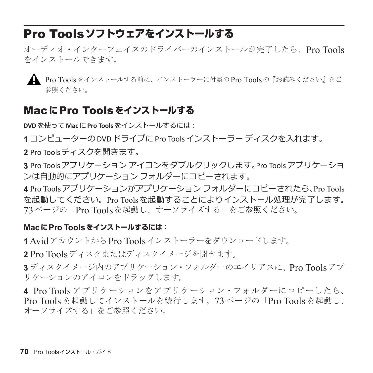# Pro Toolsソフトウェアをインストールする

オーディオ・インターフェイスのドライバーのインストールが完了したら、Pro Tools **をインストールできます。** 



**▲ Pro Tools をインストールする前に、インストーラーに付属のPro Tools の『お読みください』をご** 参照ください。

# MacにPro Toolsをインストールする

**DVD**を使ってMacにPro Toolsをインストールするには:

1 コンピューターのDVDドライブに Pro Tools インストーラー ディスクを入れます。

2 Pro Toolsディスクを開きます。

3 Pro Tools アプリケーション アイコンをダブルクリックします。Pro Tools アプリケーショ ンは自動的にアプリケーション フォルダーにコピーされます。

 $\blacktriangle$  Pro Tools $\blacktriangleright$   $\blacktriangleright$   $\blacktriangleright$   $\blacktriangleright$   $\blacktriangleright$   $\blacktriangleright$   $\blacktriangleright$   $\blacktriangleright$   $\blacktriangleright$   $\blacktriangleright$   $\blacktriangleright$   $\blacktriangleright$   $\blacktriangleright$   $\blacktriangleright$   $\triangle$   $\blacktriangleright$   $\triangle$   $\blacktriangleright$   $\triangle$   $\blacktriangleright$   $\triangle$   $\triangleright$   $\triangle$   $\triangleright$   $\triangle$   $\triangleright$   $\triangle$   $\triangleright$   $\triangle$   $\$  $\hat{\pi}$ 起動してください。Pro Tools を起動することによりインストール処理が完了します。 73ページの「Pro Tools を起動し、オーソライズする」をご参照ください。

### **MacにPro Toolsをインストールするには:**

1 Avid アカウントから Pro Tools インストーラーをダウンロードします。

2 Pro Tools ディスクまたはディスクイメージを開きます。

3 ディスクイメージ内のアプリケーション・フォルダーのエイリアスに、Pro Tools アプ リケーションのアイコンをドラッグします。

**4** Pro Tools アプリケーションをアプリケーション・フォルダーにコピーしたら Pro Tools を起動してインストールを続行します。73ページの「Pro Tools を起動し、 オーソライズする」をご参照ください。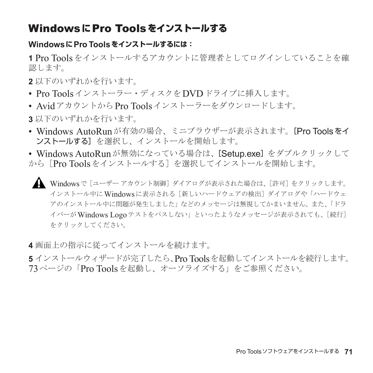# WindowsにPro Toolsをインストールする

### **WindowsにPro Toolsをインストールするには:**

1 Pro Tools をインストールするアカウントに管理者としてログインしていることを確 認します。

- 2 以下のいずれかを行います。
- Pro Tools インストーラー・ディスクをDVDドライブに挿入します。
- AvidアカウントからPro Toolsインストーラーをダウンロードします。
- 3 以下のいずれかを行います。
- Windows AutoRunが有効の場合、ミニブラウザーが表示されます。「Pro Toolsをイ ンストールする】を選択し、インストールを開始します。
- Windows AutoRun が無効になっている場合は、[Setup.exe] をダブルクリックして から「Pro Toolsをインストールする〕を選択してインストールを開始します。

**▲** Windows で [ユーザー アカウント制御] ダイアログが表示された場合は、[許可] をクリックします。 インストール中にWindowsに表示される「新しいハードウェアの検出」ダイアログや「ハードウェ アのインストール中に問題が発生しました」などのメッセージは無視してかまいません。また、「ドラ イバーが Windows Logo テストをパスしない」といったようなメッセージが表示されても、「続行 をクリックしてください。

4 画面上の指示に従ってインストールを続けます。

5インストールウィザードが完了したら、Pro Tools を起動してインストールを続行します。 73ページの「Pro Tools を起動し、オーソライズする」をご参照ください。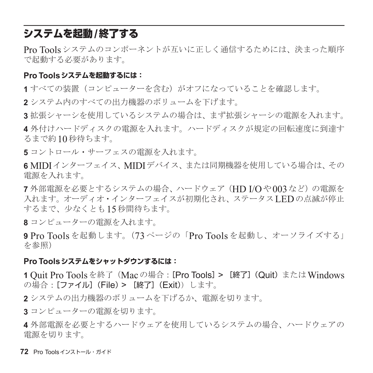# システムを起動/終了する

Pro Tools システムのコンポーネントが互いに正しく通信するためには、決まった順序 で起動する必要があります。

### **Pro Toolsシステムを起動するには:**

1すべての装置(コンピューターを含む)がオフになっていることを確認します。

**2システム内のすべての出力機器のボリュームを下げます。** 

3 拡張シャーシを使用しているシステムの場合は、まず拡張シャーシの雷源を入れます。 4 外付けハードディスクの電源を入れます。ハードディスクが規定の回転速度に到達す るまで約10秒待ちます。

ࠋࡍࡲࢀධࢆ※㟁ࡢࢫ࢙ࣇ࣮ࢧ࣭࣮ࣝࣟࢺࣥࢥ **5**

6 MIDIインターフェイス、MIDIデバイス、または同期機器を使用している場合は、その 電源を入れます。

**7 外部電源を必要とするシステムの場合、ハードウェア (HD I/O や003 など) の電源を** 入れます。オーディオ・インターフェイスが初期化され、ステータスLEDの点滅が停止 するまで、少なくとも15秒間待ちます。

**8** コンピューターの雷源を入れます

9 Pro Tools を起動します。(73ページの「Pro Tools を起動し、オーソライズする」 を参照)

#### **Pro Toolsシステムをシャットダウンするには:**

**1 Ouit Pro Toolsを終了(Macの場合:[Pro Tools] > [終了] (Quit) または Windows** の場合: 「ファイル] (File) > [終了] (Exit)) します。

2 システムの出力機器のボリュームを下げるか、電源を切ります。

3 コンピューターの雷源を切ります

4外部電源を必要とするハードウェアを使用しているシステムの場合、ハードウェアの 電源を切ります。

**72** Pro Toolsインストール・ガイド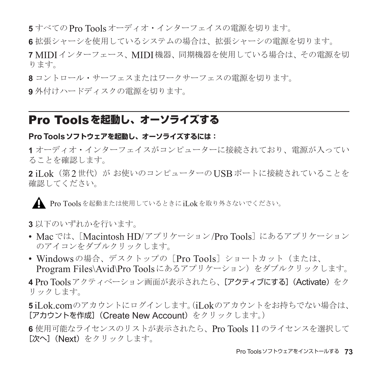- 5 すべての Pro Tools オーディオ・インターフェイスの雷源を切ります.
- 6 拡張シャーシを使用しているシステムの場合は、拡張シャーシの電源を切ります。
- 7 MIDIインターフェース、MIDI機器、同期機器を使用している場合は、その電源を切 ります。
- 8 コントロール・サーフェスまたはワークサーフェスの雷源を切ります。
- **9外付けハードディスクの電源を切ります。**

# <span id="page-76-0"></span>Pro Toolsを起動し、オーソライズする

#### **Pro Toolsソフトウェアを起動し、オーソライズするには:**

1 オーディオ・インターフェイスがコンピューターに接続されており、電源が入ってい ることを確認します。

2 iI.ok (第2世代) がお使いのコンピューターのUSBポートに接続されていることを 確認してください。

▲ Pro Toolsを起動または使用しているときにiLokを取り外さないでください。

- 3 以下のいずれかを行います。
- Mac では、[Macintosh HD/アプリケーション/Pro Tools] にあるアプリケーション のアイコンをダブルクリックします。
- Windowsの場合、デスクトップの「Pro Tools]ショートカット(または、 Program Files\Avid\Pro Toolsにあるアプリケーション)をダブルクリックします。

**4** Pro Tools アクティベーション画面が表示されたら、「アクティブにする] (Activate) をク リックします。

**5iLok.comのアカウントにログインします。(iLokのアカウントをお持ちでない場合は、** 「アカウントを作成] (Create New Account) をクリックします。)

**6** 使用可能なライセンスのリストが表示されたら、Pro Tools 11 のライセンスを選択して [次へ](Next)をクリックします。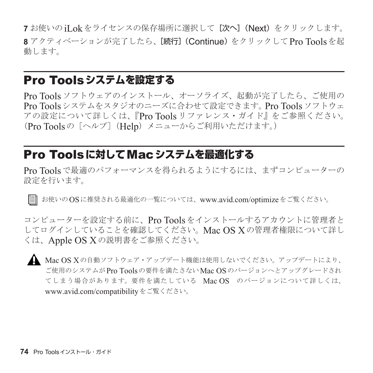7 お使いのiLokをライセンスの保存場所に選択して「次へ] (Next) をクリックします。 8 アクティベーションが完了したら、[続行] (Continue) をクリックしてPro Toolsを起 動します。

# Pro Toolsシステムを設定する

Pro Tools ソフトウェアのインストール、オーソライズ、起動が完了したら、ご使用の Pro Toolsシステムをスタジオのニーズに合わせて設定できます。Pro Tools ソフトウェ アの設定について詳しくは、『Pro Tools リファレンス・ガイド』をご参照ください。 (Pro Toolsの [ヘルプ] (Help) メニューからご利用いただけます。)

# Pro Toolsに対してMacシステムを最適化する

Pro Tools で最適のパフォーマンスを得られるようにするには、まずコンピューターの 設定を行います。

||||||| お使いの OSに推奨される最適化の一覧については、www.avid.com/optimize をご覧ください。

コンピューターを設定する前に、Pro Tools をインストールするアカウントに管理者と してログインしていることを確認してください。Mac OS Xの管理者権限について詳し くは、Apple OS Xの説明書をご参照ください。



**▲ Mac OS X**の自動ソフトウェア・アップデート機能は使用しないでください。アップデートにより、 ご使用のシステムがPro Toolsの要件を満たさないMac OS のバージョンヘとアップグレードされ てしまう場合があります。要件を満たしている Mac OS のバージョンについて詳しくは、 www.avid.com/compatibilityをご覧ください。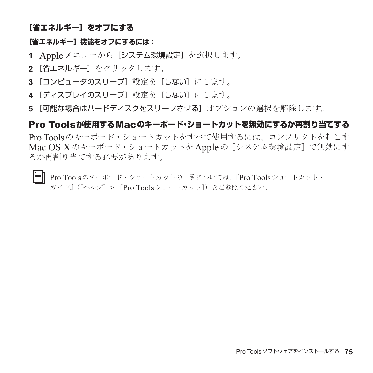### [省エネルギー]をオフにする

#### **[省エネルギー]機能をオフにするには:**

- 1 Apple メニューから [システム環境設定]を選択します。
- 2 [省エネルギー] をクリックします。
- 3 「コンピュータのスリープ]設定を「しない]にします。
- 4 「ディスプレイのスリープ]設定を「しない]にします。
- 5 [可能な場合はハードディスクをスリープさせる]オプションの選択を解除します。

### Pro Toolsが使用するMacのキーボード・ショートカットを無効にするか再割り当てする

Pro Tools のキーボード・ショートカットをすべて使用するには、コンフリクトを起こす Mac OS Xのキーボード・ショートカットを Appleの [システム環境設定] で無効にす **るか再割り当てする必要があります。** 



|່່່∭│ Pro Tools のキーボード・ショートカットの一覧については、『Pro Tools ショートカット・ ガイド』(「ヘルプ] > 「Pro Toolsショートカット]) をご参照ください。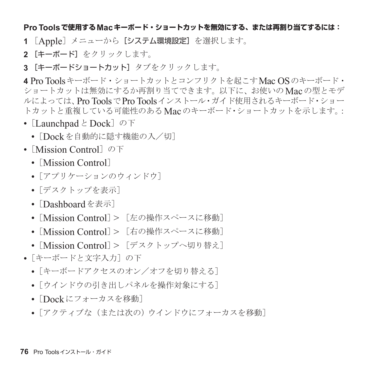#### **Pro Toolsで使用するMacキーボード・ショートカットを無効にする、または再割り当てするには:**

- 1 [Apple] メニューから [システム環境設定] を選択します。
- 2 [キーボード] をクリックします。
- 3 「キーボードショートカット] タブをクリックします。

4 Pro Tools キーボード・ショートカットとコンフリクトを起こすMac OSのキーボード· ショートカットは無効にするか再割り当てできます。以下に、お使いのMacの型とモデ ルによっては、Pro Tools でPro Toolsインストール・ガイド使用されるキーボード・ショー トカットと重複している可能性のあるMacのキーボード・ショートカットを示します。

- [Launchpad  $\geq$  Dock]  $\oslash$   $\triangledown$ 
	- 「Dockを自動的に隠す機能の入/切]
- [Mission Control] の下
	- [Mission Control]
	- [アプリケーションのウィンドウ]
	- •「デスクトップを表示]
	- [Dashboardを表示]
	- [Mission Control] > [左の操作スペースに移動]
	- [Mission Control] > 「右の操作スペースに移動]
	- [Mission Control]> 「デスクトップへ切り替え]
- •「キーボードと文字入力]の下
	- •「キーボードアクヤスのオン/オフを切り替える]
	- •「ウインドウの引き出しパネルを操作対象にする]
	- 「Dockにフォーカスを移動]
	- •「アクティブな(または次の)ウインドウにフォーカスを移動]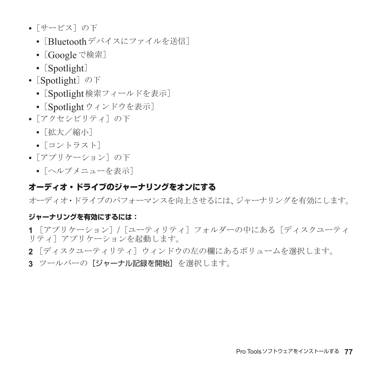- •「サービス]の下
	- [Bluetoothデバイスにファイルを送信]
	- [Google で検索]
	- [Spotlight]
- [Spotlight] の下
	- [Spotlight検索フィールドを表示]
	- [Spotlight ウィンドウを表示]
- [アクセシビリティ]の下
	- [拡大/縮小]
	- •㹙ࢺࢫࣛࢺࣥࢥ㹛
- [アプリケーション]の下
	- 「ヘルプメニューを表示]

### オーディオ・ドライブのジャーナリングをオンにする

オーディオ・ドライブのパフォーマンスを向上させるには、ジャーナリングを有効にします。

#### **ジャーナリングを有効にするには:**

- 1 「アプリケーション] / 「ユーティリティ] フォルダーの中にある「ディスクユーティ リティーアプリケーションを起動します。
- 2 「ディスクユーティリティ]ウィンドウの左の欄にあるボリュームを選択します。
- 3 ツールバーの「ジャーナル記録を開始]を選択します。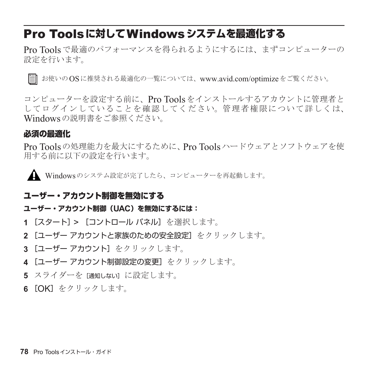# Pro Toolsに対してWindowsシステムを最適化する

Pro Tools で最適のパフォーマンスを得られるようにするには、まずコンピューターの 設定を行います。

| a使いのOSに推奨される最適化の一覧については、www.avid.com/optimizeをご覧ください。

コンピューターを設定する前に、Pro Tools をインストールするアカウントに管理者と してログインしていることを確認してください。管理者権限について詳しくは、 Windowsの説明書をご参照ください。

### 必須の最適化

Pro Tools の処理能力を最大にするために、Pro Toolsハードウェアとソフトウェアを使 用する前に以下の設定を行います。

▲ Windowsのシステム設定が完了したら、コンピューターを再起動します。

### ユーザー・アカウント制御を無効にする

#### **ユーザー・アカウント制御(UAC)を無効にするには:**

- 1 [スタート] > [コントロール パネル] を選択します
- 2 「ユーザー アカウントと家族のための安全設定】 をクリックします。
- **3** [ユーザー アカウント] をクリックします。
- 4 「ユーザー アカウント制御設定の変更】をクリックします。
- 5 スライダーを [通知しない] に設定します。
- 6 「OK<sup>1</sup> をクリックします。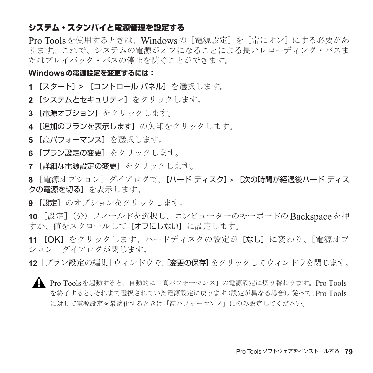### システム・スタンバイと電源管理を設定する

Pro Toolsを使用するときは、Windowsの「電源設定」を「常にオン〕にする必要があ ります。これで、システムの電源がオフになることによる長いレコーディング・パスま たはプレイバック・パスの停止を防ぐことができます。

#### **Windowsの電源設定を変更するには:**

- 1 [スタート] > [コントロール パネル] を選択します。
- 2 『システムとセキュリティ】をクリックします。
- 3 「雷源オプション] をクリックします。
- 4 「追加のプランを表示します]の矢印をクリックします。
- 5 「高パフォーマンス]を選択します。
- 6 「プラン設定の変更] なクリックします。
- 7 「詳細な電源設定の変更] をクリックします。

8 「雷源オプション] ダイアログで、[ハード ディスク] > [次の時間が経過後ハード ディス クの電源を切る】を表示します。

**9 『設定】のオプションをクリックします。** 

10 「設定] (分) フィールドを選択し、コンピューターのキーボードのBackspace を押 すか、値をスクロールして「オフにしない」に設定します。

11 [OK] をクリックします。ハードディスクの設定が [なし] に変わり、「電源オプ ション] ダイアログが閉じます。

12「プラン設定の編集]ウィンドウで、「変更の保存】をクリックしてウィンドウを閉じます。

▲ Pro Toolsを起動すると、自動的に「高パフォーマンス」の電源設定に切り替わります。Pro Tools を終了すると、それまで選択されていた電源設定に戻ります(設定が異なる場合)。従って、Pro Tools に対して電源設定を最適化するときは「高パフォーマンス」にのみ設定してください。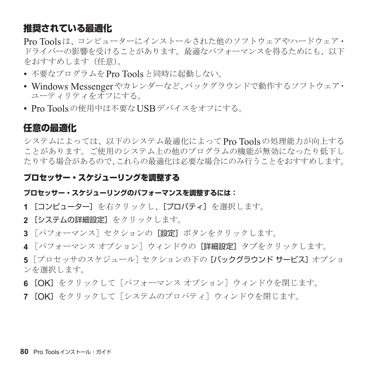# 推奨されている最適化

Pro Toolsは、コンピューターにインストールされた他のソフトウェアやハードウェア· ドライバーの影響を受けることがあります。最適なパフォーマンスを得るためにも、以下 をおすすめします (任意)。

- 不要なプログラムをPro Tools と同時に起動しない。
- Windows Messenger やカレンダーなど、バックグラウンドで動作するソフトウェア· ユーティリティをオフにする。
- Pro Toolsの使用中は不要なUSBデバイスをオフにする。

### 任意の最適化

システムによってPro Tools の処理能力が向上する ことがあります。ご使用のシステム上の他のプログラムの機能が無効になったり低下し たりする場合があるので、これらの最適化は必要な場合にのみ行うことをおすすめします。

### プロセッサー・スケジューリングを調整する

#### **プロセッサー・スケジューリングのパフォーマンスを調整するには:**

- 1 「コンピューター] を右クリックし、「プロパティ] を選択します。
- 2 「システムの詳細設定】 をクリックします。
- 3 「パフォーマンス] セクションの「設定】ボタンをクリックします。
- **4** 「パフォーマンス オプション]ウィンドウの「詳細設定】タブをクリックします。
- 5 「プロセッサのスケジュール] ヤクションの下の「バックグラウンド サービス] オプショ ンを選択します。
- 6 **「OK**】をクリックして「パフォーマンス オプション]ウィンドウを閉じます」
- **7 [OK] なクリックして「システムのプロパティ] ウィンドウを閉じます**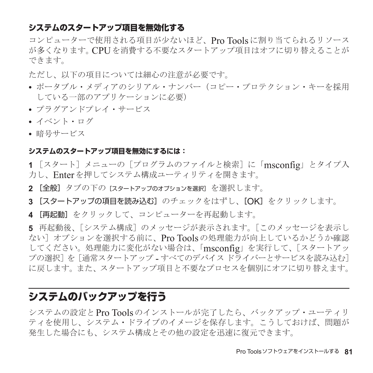### システムのスタートアップ項目を無効化する

コンピューターで使用される項目が少ないほど、Pro Toolsに割り当てられるリソース が多くなります。CPUを消費する不要なスタートアップ項目はオフに切り替えることが できます。

ただし、以下の項目については細心の注意が必要です。

- ポータブル・メディアのシリアル・ナンバー (コピー・プロテクション・キーを採用 している一部のアプリケーションに必要)
- プラグアンドプレイ・サービス
- イベント・ログ
- 暗号サービス

#### **システムのスタートアップ項目を無効にするには:**

1 「スタート] メニューの [プログラムのファイルと検索] に「msconfig」とタイプ入 力し、Enterを押してシステム構成ユーティリティを開きます。

2 「全般】タブの下の「スタートアップのオプションを選択」を選択します。

3 「スタートアップの項目を読み込む】のチェックをはずし、「OKI をクリックします。

4 「再起動] をクリックして、コンピューターを再起動します。

5 再起動後、「システム構成]のメッセージが表示されます。「このメッセージを表示し ない]オプションを選択する前に、Pro Toolsの処理能力が向上しているかどうか確認 してください。処理能力に変化がない場合は、「msconfig」を実行して、[スタートアッ プの選択]を「通常スタートアップ」すべてのデバイスドライバーとサービスを読み込む] に戻します。また、スタートアップ項目と不要なプロセスを個別にオフに切り替えます。

# システムのバックアップを行う

システムの設定と Pro Tools のインストールが完了したら、バックアップ・ユーティリ ティを使用し、システム・ドライブのイメージを保存します。こうしておけば、問題が 発生した場合にも、システム構成とその他の設定を迅速に復元できます。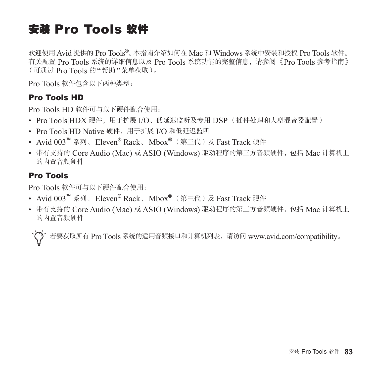# 安装 Pro Tools 软件

欢迎使用 Avid 提供的 Pro Tools®。本指南介绍如何在 Mac 和 Windows 系统中安装和授权 Pro Tools 软件。 有关配置 Pro Tools 系统的详细信息以及 Pro Tools 系统功能的完整信息,请参阅《Pro Tools 参考指南》 (可通过 Pro Tools 的"帮助"菜单获取)。

Pro Tools 软件包含以下两种类型:

### Pro Tools HD

Pro Tools HD 软件可与以下硬件配合使用.

- Pro Tools HDX 硬件, 用于扩展 I/O、低延迟监听及专用 DSP (插件处理和大型混音器配置)
- Pro Tools HD Native 硬件, 用于扩展 I/O 和低延迟监听
- Avid 003<sup>™</sup> 系列、Eleven<sup>®</sup> Rack、Mbox<sup>®</sup> (第三代)及 Fast Track 硬件
- 带有支持的 Core Audio (Mac) 或 ASIO (Windows) 驱动程序的第三方音频硬件, 包括 Mac 计算机上 的内置音频硬件

### Pro Tools

Pro Tools 软件可与以下硬件配合使用,

- Avid 003™ 系列、Eleven<sup>®</sup> Rack、Mbox<sup>®</sup> (第三代)及 Fast Track 硬件
- 带有支持的 Core Audio (Mac) 或 ASIO (Windows) 驱动程序的第三方音频硬件, 包括 Mac 计算机上 的内置音频硬件

若要获取所有 Pro Tools 系统的适用音频接口和计算机列表, 请访问 www.avid.com/compatibility。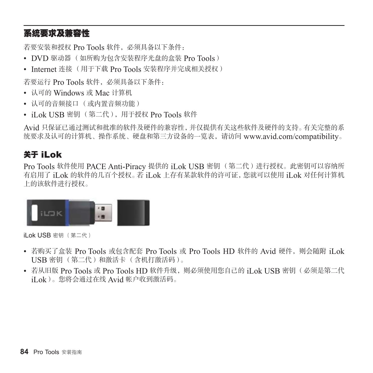# 系统要求及事案性

若要安装和授权 Pro Tools 软件, 必须具备以下条件,

- DVD 驱动器 (如所购为包含安装程序光盘的盒装 Pro Tools)
- Internet 连接 (用于下载 Pro Tools 安装程序并完成相关授权)

若要运行 Pro Tools 软件, 必须具备以下条件:

- 认可的 Windows 戓 Mac 计管机
- 认可的音频接口(或内置音频功能)
- iLok USB 密钥 (第二代), 用于授权 Pro Tools 软件

Avid 只保证已通过测试和批准的软件及硬件的兼容性,并仅提供有关这些软件及硬件的支持。有关完整的系 统要求及认可的计算机、操作系统、硬盘和第三方设备的一览表, 请访问 www.avid.com/compatibility。

# ڠλ iLok

Pro Tools 软件使用 PACE Anti-Piracy 提供的 iLok USB 密钥(第二代)进行授权。此密钥可以容纳所 有启用了 iLok 的软件的几百个授权。若 iLok 上存有某款软件的许可证,您就可以使用 iLok 对任何计算机 上的该软件进行授权。



iLok USB 密钥 (第二代)

- 若购买了盒装 Pro Tools 或包含配套 Pro Tools 或 Pro Tools HD 软件的 Avid 硬件,则会随附 iLok USB 密钥(第二代)和激活卡(含机打激活码)。
- 若从旧版 Pro Tools 或 Pro Tools HD 软件升级, 则必须使用您自己的 iLok USB 密钥 (必须是第二代 iLok)。您将会通过在线 Avid 帐户收到激活码。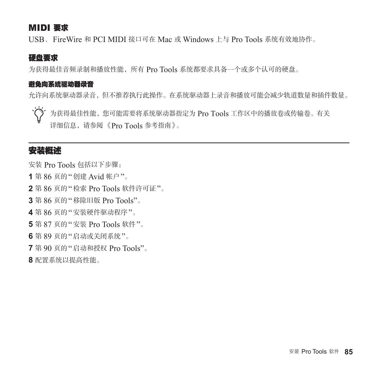### **MIDI 要求**

USB. FireWire 和 PCI MIDI 接口可在 Mac 或 Windows 上与 Pro Tools 系统有效地协作。

#### 硬盘要求

为获得最佳音频录制和播放性能, 所有 Pro Tools 系统都要求具备一个或多个认可的硬盘。

#### 游争向系统驱动器录音

允许向系统驱动器录音,但不推荐执行此操作。在系统驱动器上录音和播放可能会减少轨道数量和插件数量。

为获得最佳性能, 您可能需要将系统驱动器指定为 Pro Tools 工作区中的播放卷或传输卷。有关 详细信息, 请参阅《Pro Tools 参考指南》。

### 安装概述

安装 Pro Tools 包括以下步骤:

1 第 86 页的"创建 [Avid](#page-89-0) 帐户"。

2 第 86 页的"检索 [Pro Tools](#page-89-1) 软件许可证"。

3 第 86 页的"移除旧版 [Pro Tools"](#page-89-2)。

4 第 86 页的"安装硬件驱动程序"。

5 第 87 页的"安装 [Pro Tools](#page-90-0) 软件"。

6 第 89 页的"启动或关闭系统"。

**7** 第 90 页的"启动和授权 [Pro Tools"](#page-93-0)。

8 配置系统以提高性能。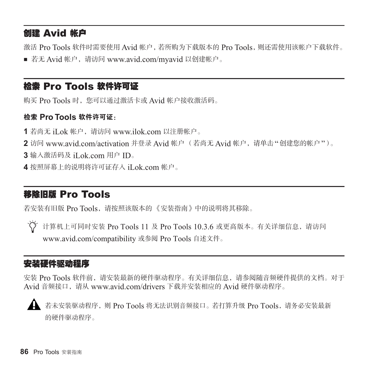# <span id="page-89-0"></span>**创建 Δvid 帐户**

激活 Pro Tools 软件时需要使用 Avid 帐户, 若所购为下载版本的 Pro Tools, 则还需使用该帐户下载软件。 ■ 若无 Avid 帐户, 请访问 www.avid.com/myavid 以创建帐户。

# <span id="page-89-1"></span>检索 Pro Tools 软件许可证

购买 Pro Tools 时, 您可以通过激活卡或 Avid 帐户接收激活码。

### 检索 Pro Tools 软件许可证:

- 1 若尚无 iLok 帐户, 请访问 www.ilok.com 以注册帐户。
- 2 访问 www.avid.com/activation 并登录 Avid 帐户 (若尚无 Avid 帐户, 请单击"创建您的帐户")。
- 3 输入激活码及 iLok.com 用户 ID。
- 4 按照屏幕上的说明将许可证存入 iLok.com 帐户。

# <span id="page-89-2"></span>⼨䮑ᬔ❵ Pro Tools

若安装有旧版 Pro Tools. 请按照该版本的《安装指南》中的说明将其移除。



计算机上可同时安装 Pro Tools 11 及 Pro Tools 10.3.6 或更高版本。有关详细信息, 请访问 www.avid.com/compatibility 或参阅 Pro Tools 自述文件。

# <span id="page-89-3"></span>安装硬件驱动程序

安裝 Pro Tools 软件前,请安装最新的硬件驱动程序。有关详细信息,请参阅随音频硬件提供的文档。对于 Avid 音频接口, 请从 www.avid.com/drivers 下载并安装相应的 Avid 硬件驱动程序。

若未安装驱动程序, 则 Pro Tools 将无法识别音频接口。若打算升级 Pro Tools, 请务必安装最新 的硬件驱动程序。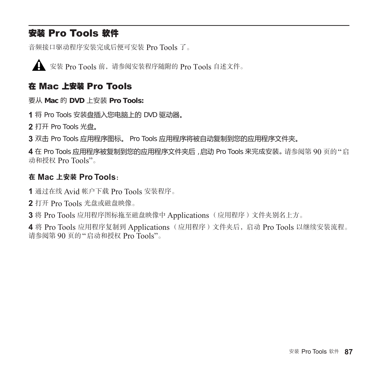# <span id="page-90-0"></span>安装 Pro Tools 敦性

音频接口驱动程序安装完成后便可安装 Pro Tools 了。

**A** 安装 Pro Tools 前,请参阅安装程序随附的 Pro Tools 自述文件。

### 在 Mac 上安装 Pro Tools

要从 Mac 的 DVD 上安装 Pro Tools:

1 将 Pro Tools 安装盘插入您电脑上的 DVD 驱动器。

**2** 打开 Pro Tools 光盘

3 双击 Pro Tools 应用程序图标。 Pro Tools 应用程序将被自动复制到您的应用程序文件夹。

4 在 Pro Tools 应用程序被复制到您的应用程序文件夹后,启动 Pro Tools 来完成安装。请参阅第 90 页的"启 动和授权 [Pro Tools"](#page-93-0)。

### **在 Mac 上安装 Pro Tools:**

1 通过在线 Avid 帐户下载 Pro Tools 安装程序。

2 打开 Pro Tools 光盘或磁盘映像。

3 将 Pro Tools 应用程序图标拖至磁盘映像中 Applications (应用程序) 文件夹别名上方。

4 将 Pro Tools 应用程序复制到 Applications (应用程序)文件夹后, 启动 Pro Tools 以继续安装流程。 请参阅第 90 页的"启动和授权 [Pro Tools"](#page-93-0)。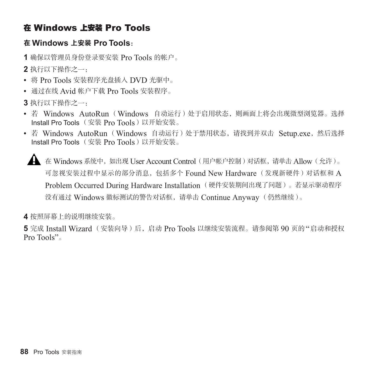# 在 Windows 上安装 Pro Tools

### **在 Windows 上安装 Pro Tools:**

1 确保以管理员身份登录要安装 Pro Tools 的帐户。

2 执行以下操作之一:

- 将 Pro Tools 安装程序光盘插入 DVD 光驱中。
- 通过在线 Avid 帐户下载 Pro Tools 安装程序。

3 执行以下操作之一:

- 若 Windows AutoRun (Windows 自动运行)处于启用状态,则画面上将会出现微型浏览器。选择 Install Pro Tools (安装 Pro Tools)以开始安装。
- 若 Windows AutoRun (Windows 自动运行)处于禁用状态,请找到并双击 Setup.exe, 然后选择 Install Pro Tools (安装 Pro Tools)以开始安装。

**▲** 在 Windows 系统中, 如出现 User Account Control (用户帐户控制)对话框, 请单击 Allow (允许)。 可忽视安装过程中显示的部分消息, 包括多个 Found New Hardware (发现新硬件)对话框和 A Problem Occurred During Hardware Installation (硬件安装期间出现了问题)。若显示驱动程序 没有通过 Windows 徽标测试的警告对话框,请单击 Continue Anyway (仍然继续)。

4 按照屏幕上的说明继续安装。

5 完成 Install Wizard (安装向导)后, 启动 Pro Tools 以继续安装流程。请参阅第 90 页的"启动和授权 [Pro Tools"](#page-93-0)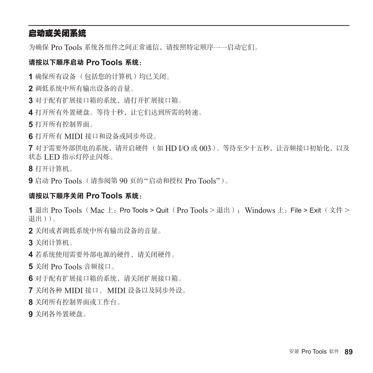### <span id="page-92-0"></span>白动或美闲系统

为确保 Pro Tools 系统各组件之间正常通信,请按照特定顺序——启动它们。

#### 请按以下顺序启动 Pro Tools 系统:

1 确保所有设备(包括您的计算机)均已关闭。

2 调低系统中所有输出设备的音量。

3 对于配有扩展接口箱的系统, 请打开扩展接口箱。

4 打开所有外置硬盘。等待十秒, 让它们达到所需的转速。

5 打开所有控制界面。

6 打开所有 MIDI 接口和设备或同步外设。

7 对于需要外部供电的系统,请开启硬件(如 HD I/O 或 003)。等待至少十五秒, 让音频接口初始化, 以及 状态 LED 指示灯停止闪烁。

8 打开计算机。

**9** 启动 Pro Tools (请参阅第 90 页的"启动和授权 [Pro Tools"](#page-93-0))。

#### 请按以下顺序关闭 Pro Tools 系统:

**1** 退出 Pro Tools (Mac 上: Pro Tools > Quit (Pro Tools > 退出): Windows 上: File > Exit (文件 > 退出))。

2 关闭或者调低系统中所有输出设备的音量。

3 关闭计算机。

4 若系统使用需要外部电源的硬件, 请关闭硬件。

**5** 美闭 Pro Tools 音频接口。

6 对于配有扩展接口箱的系统, 请关闭扩展接口箱。

7 关闭各种 MIDI 接口、MIDI 设备以及同步外设。

**8** 关闭所有控制界面或工作台。

9 关闭各外置硬盘。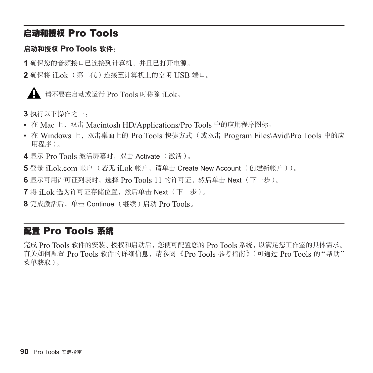# <span id="page-93-0"></span>**白动和拇权 Pro Tools**

### **启动和授权 Pro Tools 软件:**

1 确保您的音频接口已连接到计算机,并且已打开电源。

2 确保将 iLok (第二代) 连接至计算机上的空闲 USB 端口。



. 请不要在启动或运行 Pro Tools 时移除 iLok。

3 执行以下操作之一:

- 在 Mac 上, 双击 Macintosh HD/Applications/Pro Tools 中的应用程序图标。
- 在 Windows 上, 双击桌面上的 Pro Tools 快捷方式 (或双击 Program Files\Avid\Pro Tools 中的应 用程序)。
- 4 显示 Pro Tools 激活屏幕时, 双击 Activate (激活)。
- 5 登录 iLok.com 帐户 (若无 iLok 帐户, 请单击 Create New Account (创建新帐户))。

6 显示可用许可证列表时, 选择 Pro Tools 11 的许可证, 然后单击 Next (下一步)。

7 将 iLok 选为许可证存储位置, 然后单击 Next (下一步)。

8 完成激活后, 单击 Continue (继续) 启动 Pro Tools。

# 配置 Pro Tools 系统

完成 Pro Tools 软件的安装、授权和启动后,您便可配置您的 Pro Tools 系统,以满足您工作室的具体需求。 有关如何配置 Pro Tools 软件的详细信息, 请参阅《Pro Tools 参考指南》(可通过 Pro Tools 的"帮助" 菜单获取)。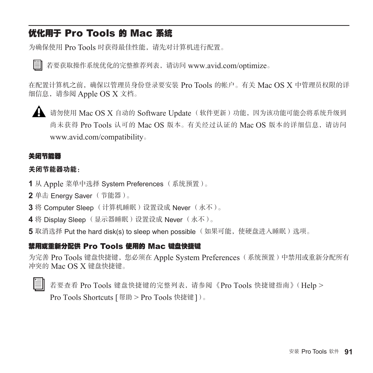# 优化田于 Pro Tools 的 Mac 系统

为确保使用 Pro Tools 时获得最佳性能, 请先对计算机进行配置。



㠒㺮㣤ः᧺҉㈨㐌хࡃ⮱Ⴙ᪡ᣕ㡽݄㶕喑䄤䃬䬛 www.avid.com/optimizeȡ

在配置计算机之前, 确保以管理员身份登录要安装 Pro Tools 的帐户。有关 Mac OS X 中管理员权限的详 细信息,请参阅 Apple OS X 文档。

**▲** 请勿使用 Mac OS X 自动的 Software Update (软件更新) 功能, 因为该功能可能会将系统升级到 尚未获得 Pro Tools 认可的 Mac OS 版本。有关经过认证的 Mac OS 版本的详细信息, 请访问 www.avid.com/compatibility.

#### 羊闭节能器

#### 关闭节能器功能:

1 从 Apple 菜单中选择 System Preferences (系统预置)。

**2** 单击 Energy Saver (节能器)。

3 将 Computer Sleep (计算机睡眠) 设置设成 Never (永不)。

4 将 Display Sleep (显示器睡眠)设置设成 Never (永不)。

5 取消选择 Put the hard disk(s) to sleep when possible (如果可能,使硬盘进入睡眠)选项。

#### 禁用或重新分配供 Pro Tools 使用的 Mac 键盘快捷键

为完善 Pro Tools 键盘快捷键, 您必须在 Apple System Preferences (系统预置)中禁用或重新分配所有 冲突的 Mac OS X 键盘快捷键。



若要查看 Pro Tools 键盘快捷键的完整列表, 请参阅《Pro Tools 快捷键指南》(Help > Pro Tools Shortcuts [帮助 > Pro Tools 快捷键 ])。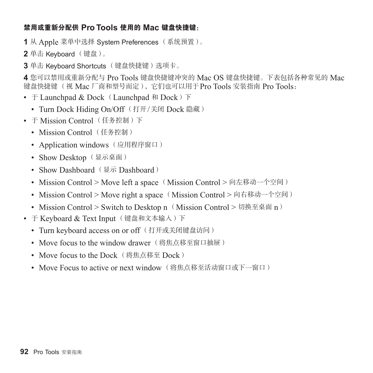### 禁用或重新分配供 Pro Tools 使用的 Mac 键盘快捷键:

1 从 Apple 菜单中选择 System Preferences (系统预置)。

2 单击 Keyboard (键盘)。

3 单击 Keyboard Shortcuts (键盘快捷键)选项卡。

4 您可以禁用或重新分配与 Pro Tools 键盘快捷键冲突的 Mac OS 键盘快捷键。下表句括各种常见的 Mac 键盘快捷键 (视 Mac 厂商和型号而定), 它们也可以用于 Pro Tools 安装指南 Pro Tools·

- $\pm$  Launchpad & Dock (Launchpad  $\frac{\pi}{2}$  Dock)  $\pm$ 
	- Turn Dock Hiding On/Off (打开/关闭 Dock 隐藏)
- 于 Mission Control (任务控制)下
	- Mission Control (任务控制)
	- Application windows (应用程序窗口)
	- Show Desktop (显示桌面)
	- Show Dashboard (显示 Dashboard)
	- Mission Control > Move left a space (Mission Control > 向左移动一个空间)
	- Mission Control > Move right a space (Mission Control > 向右移动一个空间)
	- Mission Control > Switch to Desktop n (Mission Control > 切换至桌面 n)
- 于 Keyboard & Text Input (键盘和文本输入)下
	- Turn keyboard access on or off (打开或关闭键盘访问)
	- Move focus to the window drawer (将焦点移至窗口抽屉)
	- Move focus to the Dock (将焦点移至 Dock)
	- Move Focus to active or next window (将焦点移至活动窗口或下一窗口)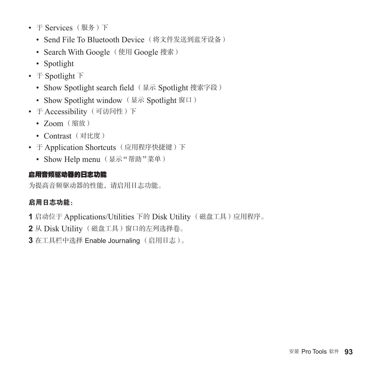- 于 Services (服务)下
	- Send File To Bluetooth Device (将文件发送到蓝牙设备)
	- Search With Google (使用 Google 搜索)
	- Spotlight
- $\pm$  Spotlight  $\pm$ 
	- Show Spotlight search field (显示 Spotlight 搜索字段)
	- Show Spotlight window (显示 Spotlight 窗口)
- 于 Accessibility (可访问性)下
	- Zoom (缩放)
	- Contrast (对比度)
- 于 Application Shortcuts (应用程序快捷键)下
	- Show Help menu (显示"帮助"菜单)

### 启用音频驱动器的日志功能

为提高音频驱动器的性能。请启用日志功能。

### 启用日志功能:

- 1 启动位于 Applications/Utilities 下的 Disk Utility (磁盘工具)应用程序。
- 2 从 Disk Utility (磁盘工具)窗口的左列选择卷。
- 3 在工具栏中选择 Enable Journaling (启用日志)。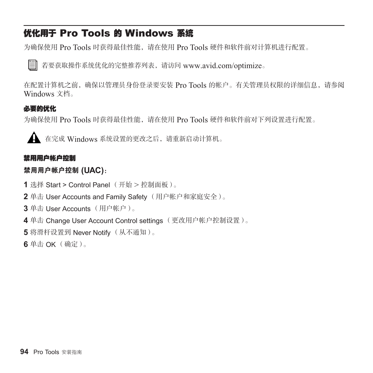# 伏伏田于 Pro Tools 的 Windows 系统

为确保使用 Pro Tools 时获得最佳性能, 请在使用 Pro Tools 硬件和软件前对计算机进行配置。



**| 若要获取操作系统优化的完整推荐列表, 请访问 www.avid.com/optimize。** 

在配置计算机之前, 确保以管理员身份登录要安装 Pro Tools 的帐户。有关管理员权限的详细信息, 请参阅 Windows 文档。

#### 必要的优化

为确保使用 Pro Tools 时获得最佳性能, 请在使用 Pro Tools 硬件和软件前对下列设置进行配置。



 $\bigoplus$  在完成 Windows 系统设置的更改之后, 请重新启动计算机。

#### 禁用用户帐户控制

### 禁用用户帐户控制 (UAC):

1 选择 Start > Control Panel (开始 > 控制面板)。

- 2 单击 User Accounts and Family Safety (用户帐户和家庭安全)。
- 3 单击 User Accounts (用户帐户)。
- 4 单击 Change User Account Control settings (更改用户帐户控制设置)。
- 5 将滑杆设置到 Never Notify (从不通知)。

 $6$  单击 OK (确定)。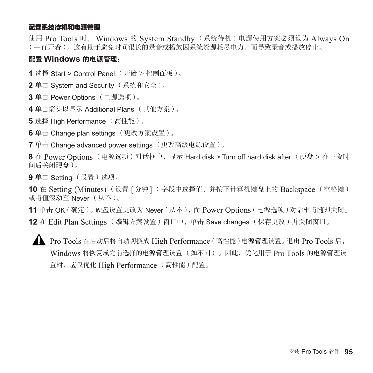#### 配置系统待机和电源管理

使用 Pro Tools 时, Windows 的 System Standby (系统待机) 电源使用方案必须设为 Always On (一直开着)。这有助于避免时间很长的录音或播放因系统资源耗尽电力,而导致录音或播放停止。

#### 配置 Windows 的电源管理:

1 洗择 Start > Control Panel (开始 > 控制面板)。

**2** 单击 System and Security (系统和安全)。

3 单击 Power Options (电源选项)。

4 单击箭头以显示 Additional Plans (其他方案)。

**5** 选择 High Performance (高性能)。

**6** 单击 Change plan settings (更改方案设置)。

**7** 单击 Change advanced power settings (更改高级电源设置)。

8 在 Power Options (电源选项) 对话框中, 显示 Hard disk > Turn off hard disk after (硬盘 > 在一段时 间后关闭硬盘)。

9 单击 Setting (设置)选项。

**10** 在 Setting (Minutes) (设置 [分钟])字段中选择值,并按下计算机键盘上的 Backspace (空格键) 或将值滚动至 Never (从不)。

11 单击 OK (确定)。 硬盘设置更改为 Never (从不), 而 Power Options (电源选项)对话框将随即关闭。

12 在 Edit Plan Settings (编辑方案设置)窗口中, 单击 Save changes (保存更改)并关闭窗口。



▲ Pro Tools 在启动后将自动切换成 High Performance (高性能)电源管理设置。退出 Pro Tools 后, Windows 将恢复成之前选择的电源管理设置(如不同)。因此, 优化用于 Pro Tools 的电源管理设 置时, 应仅优化 High Performance (高性能)配置。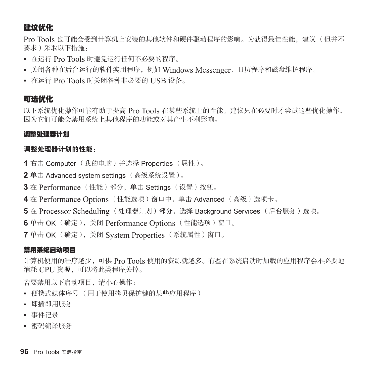# 建议优化

Pro Tools 也可能会受到计算机上安装的其他软件和硬件驱动程序的影响。为获得最佳性能、建议( 但并不 要求)采取以下措施:

- 在运行 Pro Tools 时避免运行任何不必要的程序。
- 关闭各种在后台运行的软件实用程序, 例如 Windows Messenger、日历程序和磁盘维护程序。
- 在运行 Pro Tools 时关闭各种非必要的 USB 设备。

### 可选优化

以下系统优化操作可能有助于提高 Pro Tools 在某些系统上的性能。建议只在必要时才尝试这些优化操作, 因为它们可能会禁用系统上其他程序的功能或对其产生不利影响。

#### 调整处理器计划

#### 调整处理器计划的性能:

1 右击 Computer (我的电脑)并选择 Properties (属性)。

2 单击 Advanced system settings (高级系统设置)。

3 在 Performance (性能)部分, 单击 Settings (设置)按钮。

4 在 Performance Options (性能选项)窗口中, 单击 Advanced (高级)选项卡。

5 在 Processor Scheduling (处理器计划)部分, 选择 Background Services (后台服务)选项。

**6** 单击 OK (确定), 关闭 Performance Options (性能选项)窗口。

7 单击 OK (确定), 关闭 System Properties (系统属性)窗口。

#### 埜田系统户动项目

计算机使用的程序越少,可供 Pro Tools 使用的资源就越多。有些在系统启动时加载的应用程序会不必要地 消耗 CPU 资源,可以将此类程序关掉。

若要禁用以下启动项目, 请小心操作,

- 便携式媒体序号(用于使用拷贝保护键的某些应用程序)
- 即插即用服务
- $\cdot$  事件记录
- 密码编译服务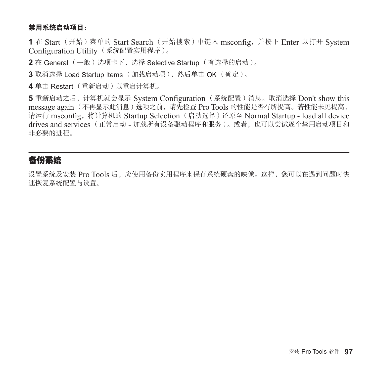#### 禁用系统启动项目:

1 在 Start (开始) 菜单的 Start Search (开始搜索) 中键入 msconfig, 并按下 Enter 以打开 System Configuration Utility (系统配置实用程序)。

2 在 General (一般)选项卡下,选择 Selective Startup (有选择的启动)。

3 取消选择 Load Startup Items (加载启动项), 然后单击 OK (确定)。

4 单击 Restart (重新启动) 以重启计算机。

5 重新启动之后, 计算机就会显示 Svstem Configuration (系统配置) 消息。取消选择 Don't show this message again (不再显示此消息)选项之前, 请先检查 Pro Tools 的性能是否有所提高。若性能未见提高, 请运行 msconfig, 将计算机的 Startup Selection (启动选择)还原至 Normal Startup - load all device drives and services (正常启动 - 加载所有设备驱动程序和服务)。或者,也可以尝试逐个禁用启动项目和 非必要的进程。

### 备份系统

设置系统及安装 Pro Tools 后, 应使用备份实用程序来保存系统硬盘的映像。这样, 您可以在遇到问题时快 速恢复系统配置与设置。